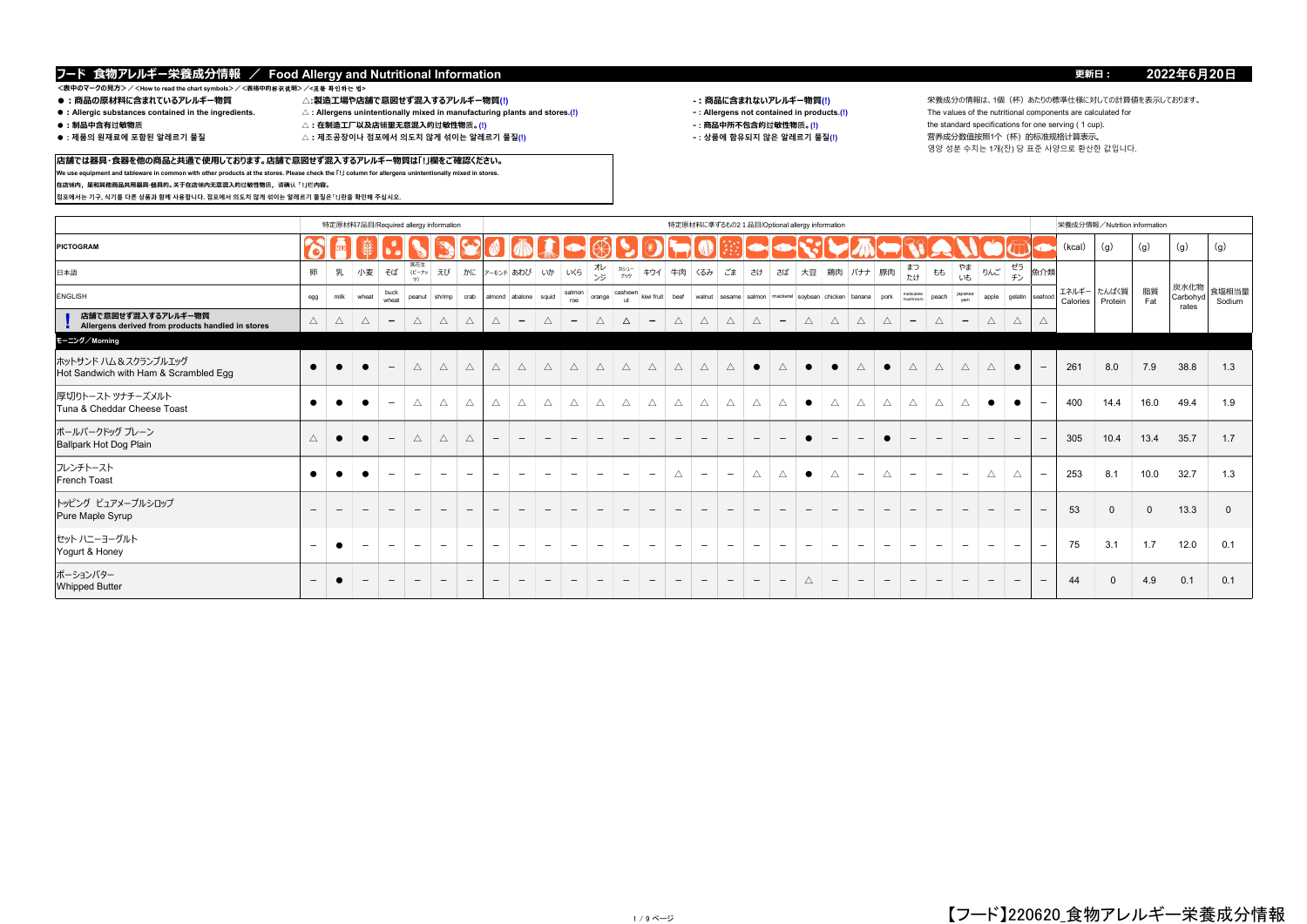**店舗では器具・食器を他の商品と共通で使用しております。店舗で意図せず混入するアレルギー物質は「!」欄をご確認ください。 We use equipment and tableware in common with other products at the stores. Please check the 「!」 column for allergens unintentionally mixed in stores.**

# \_<br><表中のマークの見方>/<How to read the chart symbols>/<表格中的标识説明>/**<표를 확인하는 법><br>● :商品の原材料に含まれているアレルギー物質**

**在店铺内,是和其他商品共用器具·餐具的。关于在店铺内无意混入的过敏性物质,请确认「!」栏内容。**

**점포에서는 기구, 식기를 다른 상품과 함께 사용합니다. 점포에서 의도치 않게 섞이는 알레르기 물질은「!」란을 확인해 주십시오.**

- 
- 
- 
- 
- ●:Allergic substances contained in the ingredients. △:Allergens unintentionally mixed in manufacturing plants and stores.(!) <br>●:制品中含有过敏物质 △:在制造工厂以及店铺里无意混入的过敏性物质。(!)
- 
- - $\triangle$  : 제조공장이나 점포에서 의도치 않게 섞이는 알레르기 물질(!)

- 
- -

**●:商品の原材料に含まれているアレルギー物質 △:製造工場や店舗で意図せず混入するアレルギー物質(!) -:商品に含まれないアレルギー物質(!)** 栄養成分の情報は、1個(杯)あたりの標準仕様に対しての計算値を表示しております。 **●:制品中含有过敏物质 △:在制造工厂以及店铺里无意混入的过敏性物质。(!) ‐ : 商品中所不包含的过敏性物质。(!)** the standard specifications for one serving ( 1 cup). 영양 성분 수치는 1개(잔) 당 표준 사양으로 환산한 값입니다.

|                                                                         |                          |      | 特定原材料7品目/Required allergy information |                          |                          |                          |                              |                              |                                                   |                          |                          |                          |                          |                          |                          |                   |                          |                              |                          | 特定原材料に準ずるもの21品目/Optional allergy information                                                |                          |                          |                          |                          |                          |                                 |                          |                          |                              |                                | 栄養成分情報/Nutrition information |           |                           |                 |
|-------------------------------------------------------------------------|--------------------------|------|---------------------------------------|--------------------------|--------------------------|--------------------------|------------------------------|------------------------------|---------------------------------------------------|--------------------------|--------------------------|--------------------------|--------------------------|--------------------------|--------------------------|-------------------|--------------------------|------------------------------|--------------------------|---------------------------------------------------------------------------------------------|--------------------------|--------------------------|--------------------------|--------------------------|--------------------------|---------------------------------|--------------------------|--------------------------|------------------------------|--------------------------------|------------------------------|-----------|---------------------------|-----------------|
| PICTOGRAM                                                               |                          |      |                                       |                          |                          |                          |                              |                              |                                                   |                          |                          |                          |                          |                          |                          |                   |                          |                              |                          |                                                                                             |                          |                          |                          |                          |                          |                                 |                          |                          |                              | (kcal)                         | (q)                          | (g)       | (g)                       | (g)             |
| 日本語                                                                     | 卵                        | 乳    | 小麦                                    |                          | 落花生<br>そば (ビーナッ          | えび                       |                              |                              | かに アーモンド あわび いか いくら                               |                          |                          | オレ<br>ンジ                 | カシュー<br>ナッツ              | キウイ                      |                          | 牛肉 くるみ            | ごま                       | さけ                           |                          | さば   大豆   鶏肉   バナナ   豚肉                                                                     |                          |                          |                          | まつ<br>たけ                 | もも                       | やま<br>いも                        | りんご                      | ゼラ<br>チン                 | 魚介類                          |                                |                              |           |                           |                 |
| ENGLISH                                                                 | egg                      | milk | wheat                                 | buck<br>wheat            |                          |                          |                              |                              | peanut   shrimp   crab   almond   abalone   squid |                          | salmon<br>roe            | orange                   | cashewn<br>art.          |                          |                          |                   |                          |                              |                          | kiwi fruit   beef   walnut   sesame   salmon   mackerel   soybean   chicken   banana   pork |                          |                          |                          | matsutake<br>mishroom    | peach                    | japanse<br>vam                  |                          |                          | apple gelatin seafood        | エネルギー たんぱく質<br><b>Calories</b> | Protein                      | 脂質<br>Fat | 炭水化物<br>Carbohyd<br>rates | 食塩相当量<br>Sodium |
| 店舗で意図せず混入するアレルギー物質<br>Allergens derived from products handled in stores | $\triangle$              | Δ    | $\triangle$                           | $\overline{\phantom{0}}$ | Δ                        | $\wedge$                 | Δ                            | $\triangle$                  | $\overline{\phantom{a}}$                          | $\triangle$              | $\overline{\phantom{0}}$ | Δ                        | Δ                        | $\overline{\phantom{a}}$ | Δ                        | Δ                 | $\wedge$                 | Δ                            | $\overline{\phantom{0}}$ | Δ                                                                                           | $\triangle$              | $\triangle$              | $\wedge$                 | $\overline{\phantom{a}}$ | $\triangle$              | $\overline{\phantom{a}}$        | Δ                        | $\triangle$              | $\wedge$                     |                                |                              |           |                           |                 |
| モーニング/Morning                                                           |                          |      |                                       |                          |                          |                          |                              |                              |                                                   |                          |                          |                          |                          |                          |                          |                   |                          |                              |                          |                                                                                             |                          |                          |                          |                          |                          |                                 |                          |                          |                              |                                |                              |           |                           |                 |
| ホットサンド ハム & スクランブルエッグ<br>Hot Sandwich with Ham & Scrambled Egg          | $\bullet$                |      |                                       | $\overline{\phantom{a}}$ | $\triangle$              | $\triangle$              | $\triangle$                  | $\triangle$                  | $\triangle$                                       | $\triangle$              | $\triangle$              | $\triangle$              | $\triangle$              | $\triangle$              | $\triangle$              | $\triangle$       | $\triangle$              | $\bullet$                    | Δ                        | $\bullet$                                                                                   | $\bullet$                | $\triangle$              | $\bullet$                | $\triangle$              | $\triangle$              | $\triangle$                     | Δ                        | $\bullet$                | $\overline{\phantom{0}}$     | 261                            | 8.0                          | 7.9       | 38.8                      | 1.3             |
| 厚切りトースト ツナチーズメルト<br>Tuna & Cheddar Cheese Toast                         | $\bullet$                |      |                                       | $\overline{\phantom{0}}$ | Δ                        | Δ                        | Δ                            | Δ                            | Δ                                                 | $\triangle$              | $\triangle$              | $\triangle$              | $\triangle$              | $\triangle$              | $\triangle$              | Δ                 | $\triangle$              | $\triangle$                  | Δ                        | $\bullet$                                                                                   | $\triangle$              | $\triangle$              | Δ                        | $\triangle$              | $\triangle$              | $\triangle$                     | $\bullet$                | $\bullet$                | $\overline{\phantom{a}}$     | 400                            | 14.4                         | 16.0      | 49.4                      | 1.9             |
| ボールパークドッグ プレーン<br><b>Ballpark Hot Dog Plain</b>                         | Δ                        |      |                                       | $\overline{\phantom{a}}$ | Δ                        | $\triangle$              | $\triangle$                  | $\overline{\phantom{0}}$     | $\overline{\phantom{m}}$                          | $\overline{\phantom{m}}$ | $\overline{\phantom{a}}$ | $\overline{\phantom{m}}$ | $\overline{\phantom{0}}$ | $\overline{\phantom{0}}$ | $\overline{\phantom{0}}$ |                   |                          | $-$                          | $-$                      | $\bullet$                                                                                   | $\qquad \qquad -$        | $-$                      | $\bullet$                | $\overline{\phantom{a}}$ | $\overline{\phantom{0}}$ | $\overline{\phantom{0}}$        | $\overline{\phantom{m}}$ | $\overline{\phantom{m}}$ | $\overline{\phantom{a}}$     | 305                            | 10.4                         | 13.4      | 35.7                      | 1.7             |
| フレンチトースト<br><b>French Toast</b>                                         | $\bullet$                |      |                                       | $\overline{\phantom{a}}$ | $\qquad \qquad -$        | $\overline{\phantom{a}}$ | $\qquad \qquad \blacksquare$ | $\overline{\phantom{0}}$     | $\overline{\phantom{m}}$                          | $\overline{\phantom{0}}$ | $\overline{\phantom{m}}$ | $\overline{\phantom{m}}$ | $\overline{\phantom{0}}$ | $\overline{\phantom{m}}$ | $\triangle$              | $\qquad \qquad -$ | $\overline{\phantom{m}}$ | $\triangle$                  | $\triangle$              | $\bullet$                                                                                   | $\triangle$              | $\overline{\phantom{a}}$ | Δ                        | $\overline{\phantom{0}}$ | $\overline{\phantom{a}}$ | $\hspace{0.1mm}-\hspace{0.1mm}$ | Δ                        | $\triangle$              | $\overline{\phantom{a}}$     | 253                            | 8.1                          | 10.0      | 32.7                      | 1.3             |
| トッピング ピュアメープルシロップ<br>Pure Maple Syrup                                   | $\qquad \qquad -$        |      | $\overline{\phantom{0}}$              |                          |                          | $\overline{\phantom{0}}$ | $\qquad \qquad =$            | $\overline{\phantom{0}}$     |                                                   | $\overline{\phantom{m}}$ | $\overline{\phantom{a}}$ |                          |                          |                          | $\overline{\phantom{m}}$ |                   |                          | $-$                          |                          | $\overline{\phantom{a}}$                                                                    | $\overline{\phantom{0}}$ | $\overline{\phantom{0}}$ | $\qquad \qquad -$        | $\overline{\phantom{a}}$ | $\overline{\phantom{0}}$ | $\overline{\phantom{a}}$        | $\overline{\phantom{m}}$ | $\overline{\phantom{m}}$ | $\overline{\phantom{a}}$     | 53                             | $\mathbf{0}$                 | $\Omega$  | 13.3                      | $\mathbf 0$     |
| セット ハニーヨーグルト<br>Yogurt & Honey                                          | $\qquad \qquad -$        |      | $\overline{\phantom{0}}$              | $\overline{\phantom{m}}$ | $\overline{\phantom{0}}$ | $\overline{\phantom{a}}$ | $\overline{\phantom{0}}$     | $\overline{\phantom{0}}$     | $\qquad \qquad -$                                 | $\overline{\phantom{m}}$ | $\overline{\phantom{m}}$ | $\overline{\phantom{m}}$ | $\overline{\phantom{0}}$ | $\overline{\phantom{0}}$ | $\overline{\phantom{0}}$ | $\qquad \qquad$   | $\overline{\phantom{0}}$ | $\overline{\phantom{m}}$     | $-$                      | $\overline{\phantom{m}}$                                                                    | $\overline{\phantom{0}}$ | $\overline{\phantom{a}}$ | $\overline{\phantom{0}}$ | $\overline{\phantom{0}}$ | $\overline{\phantom{0}}$ | $\overline{\phantom{a}}$        | $\qquad \qquad -$        | $\overline{\phantom{m}}$ | $\qquad \qquad \blacksquare$ | 75                             | 3.1                          | 1.7       | 12.0                      | 0.1             |
| ポーションバター<br><b>Whipped Butter</b>                                       | $\overline{\phantom{0}}$ |      | $\overline{\phantom{0}}$              |                          |                          | $\overline{\phantom{0}}$ | $\overline{\phantom{0}}$     | $\qquad \qquad \blacksquare$ | $\qquad \qquad -$                                 | $\overline{\phantom{0}}$ | $\overline{\phantom{m}}$ | $\overline{\phantom{0}}$ |                          | $\overline{\phantom{0}}$ | $\overline{\phantom{a}}$ |                   | $\overline{\phantom{a}}$ | $\qquad \qquad \blacksquare$ | $\overline{\phantom{m}}$ | Δ                                                                                           | $\overline{\phantom{0}}$ |                          | $\overline{\phantom{0}}$ |                          |                          | $\overline{\phantom{a}}$        |                          | $\overline{\phantom{0}}$ | $\overline{\phantom{a}}$     | 44                             | $\mathbf{0}$                 | 4.9       | 0.1                       | 0.1             |
|                                                                         |                          |      |                                       |                          |                          |                          |                              |                              |                                                   |                          |                          |                          |                          |                          |                          |                   |                          |                              |                          |                                                                                             |                          |                          |                          |                          |                          |                                 |                          |                          |                              |                                |                              |           |                           |                 |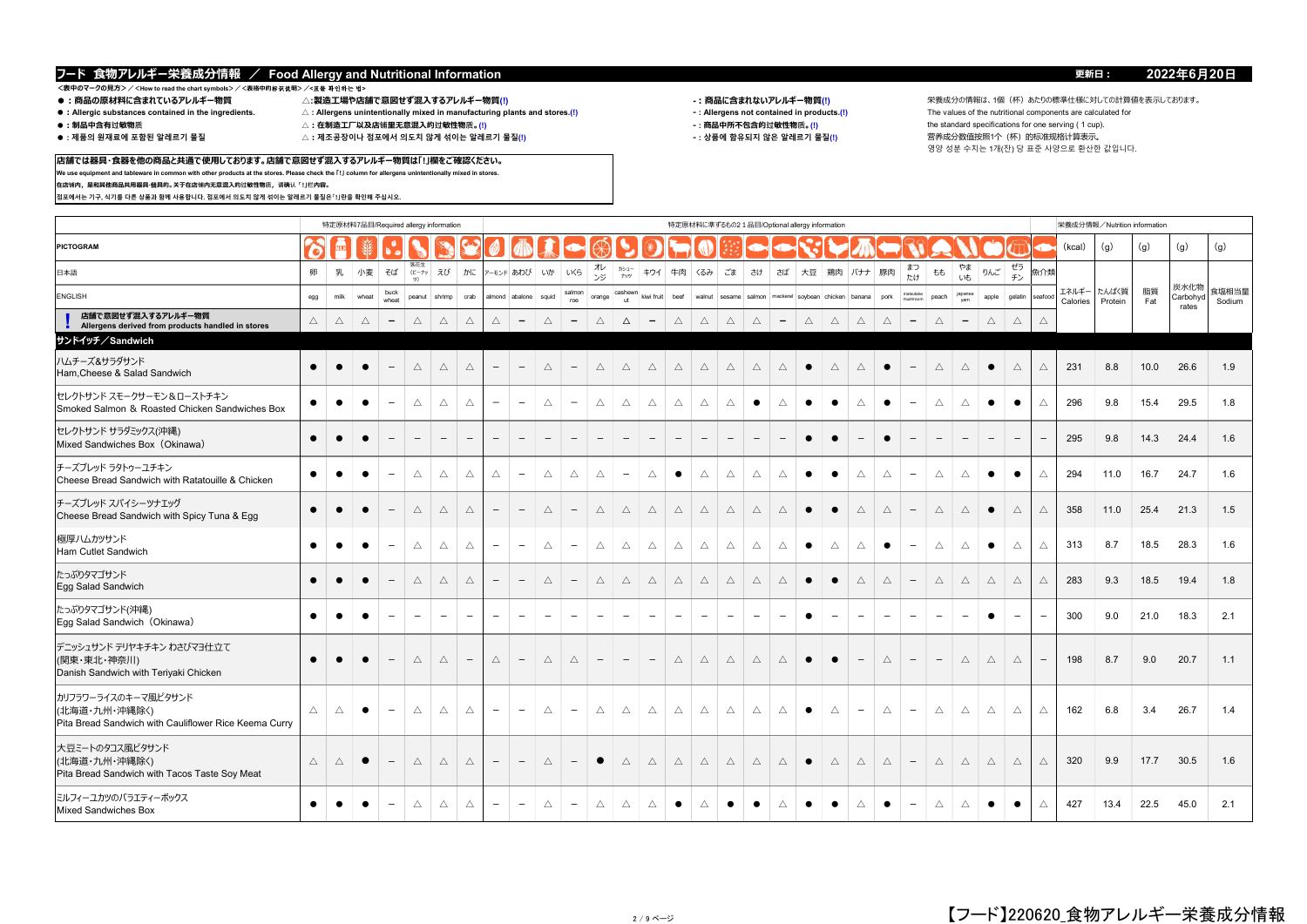**店舗では器具・食器を他の商品と共通で使用しております。店舗で意図せず混入するアレルギー物質は「!」欄をご確認ください。 We use equipment and tableware in common with other products at the stores. Please check the 「!」 column for allergens unintentionally mixed in stores.**

### **<表中のマークの見方>/<How to read the chart symbols>/<表格中的**标识说**明>/<**표를 확인하는 법**>**

**在店铺内,是和其他商品共用器具·餐具的。关于在店铺内无意混入的过敏性物质,请确认「!」栏内容。**

**점포에서는 기구, 식기를 다른 상품과 함께 사용합니다. 점포에서 의도치 않게 섞이는 알레르기 물질은「!」란을 확인해 주십시오.**

- 
- 
- 
- 
- **●:Allergic substances contained in the ingredients. △ : Allergens unintentionally mixed in manufacturing plants and stores.(!) ‐ : Allergens not contained in products.(!)** The values of the nutritional components are calculated for
	-

ミルフィーユカツのバラエティーボックス Mixed Sandwiches Box

- 
- 

- 
- -

● ● ● - △ △ △ - - △ - △ △ △ ● △ ● ● △ ● ● △ ● - △ △ ● ● △ 427 13.4 22.5 45.0 2.1

**●:商品の原材料に含まれているアレルギー物質 △:製造工場や店舗で意図せず混入するアレルギー物質(!) -:商品に含まれないアレルギー物質(!)** 栄養成分の情報は、1個(杯)あたりの標準仕様に対しての計算値を表示しております。 **●:制品中含有过敏物质 △:在制造工厂以及店铺里无意混入的过敏性物质。(!) ‐ : 商品中所不包含的过敏性物质。(!)** the standard specifications for one serving ( 1 cup). △ : 제조공장이나 점포에서 의도치 않게 섞이는 알레르기 물질(!) 상품에 함유되지 않은 알레르기 물질(!) 营养成分数值按照1个(杯)的标准规格计算表示。 영양 성분 수치는 1개(잔) 당 표준 사양으로 환산한 값입니다.

### 栄養成分情報/Nutrition information **PICTOGRAM** (kcal) (g) (g) (g) (g) 日本語 しょうしょう しゅうしゃ しんしゃ しゅうしゃ しゅうしゅん しゅうしゅ いっぽん うちのあい しゅうしょう 洛化生<br>(ピーナッ ツ)  $\bar{z}$ び | かに  $\bar{z}$   $\bar{z}$   $\bar{z}$   $\bar{z}$   $\bar{z}$   $\bar{z}$   $\bar{z}$   $\bar{z}$   $\bar{z}$   $\bar{z}$   $\bar{z}$   $\bar{z}$   $\bar{z}$   $\bar{z}$   $\bar{z}$   $\bar{z}$   $\bar{z}$   $\bar{z}$   $\bar{z}$   $\bar{z}$   $\bar{z}$   $\bar{z}$   $\bar{z}$   $\bar{z}$   $\bar{z}$   $\bar{z}$ ンジ カシュー <sup>)シュー</sup> | キウイ | 牛肉 | くるみ | ごま | さけ | さば | 大豆 | 鶏肉 | バナナ | 豚肉 | まつ まつ もも やま りんご ゼラ ピノ 魚介类 ENGLISH buck and the second control of the second control of the second control of the second control of the second control of the second control of the second control of the second control of the second control of the sec buck peanut shrimp crab almond abalone squid salmon roe orange cashewn ut kiwi fruit beef walnut sesame salmon mackerel soybean chicken banana pork matsutaken valmet matsutaken valmet matsutaken valmet source matsutaken valmet valmet valmet valmet sesame salmon matsutaken valmet valmet valmet matsutake peach japanse<br>mushroom peach <sub>yam</sub> apple gelatin **! △ △ △ - △ △ △ △ - △ - △** △ **- △ △ △ △ - △ △ △ △ - △ - △ △ △ 店舗で意図せず混入するアレルギー物質 Allergens derived from products handled in stores** 特定原材料7品目/Required allergy information カンファント しんしょう しんしん しんしん おおところ きょうしゅう 特定原材料に準ずるもの2.1品目/Optional allergy information エネルギー Calories たんぱく質 Protein 脂質 **Fat** 炭水化物 Carbohyd rates 食塩相当量 Sodium **サンドイッチ/Sandwich** ● ● ● - △ △ △ - - △ - △ △ △ △ △ △ △ △ ● △ △ ● - △ △ ● △ △ 231 8.8 10.0 26.6 1.9 ● ● ● - △ △ △ ー - △ ー △ △ △ △ △ △ ● △ ● ● △ ● - △ △ ● ● △ 296 9.8 15.4 29.5 1.8 ● ● ● - - - - - - - - - - - - - - - - ● ● - ● - - - - - - 295 9.8 14.3 24.4 1.6 ● | ● | ● | - | △ | △ | △ | △ | - | △ | △ | △ | - | △ | ● | △ | △ | △ | △ | △ | - | △ | △ | ● | ● | △ | 294 | 11.0 | 16.7 | 24.7 | 1.6 ● ● ● - △ △ △ - - △ - △ △ △ △ △ △ △ △ ● ● △ △ - △ △ ● △ △ 358 11.0 25.4 21.3 1.5 ● ● ● - △ △ △ - - △ - △ △ △ △ △ △ △ △ ● △ △ ● - △ △ ● △ △ 313 8.7 18.5 28.3 1.6 ● ● ● - △ △ △ - - △ - △ △ △ △ △ △ △ △ ● ● △ △ - △ △ △ △ △ 283 9.3 18.5 19.4 1.8 ● ● ● - - - - - - - - - - - - - - - - ● - - - - - - ● - - 300 9.0 21.0 18.3 2.1 ● ● ● - △ △ - △ - △ △ - - - △ △ △ △ △ ● ● - △ - - △ △ △ - 198 8.7 9.0 20.7 1.1 △ △ ● - △ △ △ - - △ - △ △ △ △ △ △ △ △ ● △ - △ - △ △ △ △ △ 162 6.8 3.4 26.7 1.4 △ △ ● - △ △ △ - - △ - ● △ △ △ △ △ △ △ ● △ △ △ - △ △ △ △ △ 320 9.9 17.7 30.5 1.6 デーッシュサンド テリヤキチキン わさびマヨ什 立て (関東・東北・神奈川) Danish Sandwich with Teriyaki Chicken 大豆ミートのタコス風ピタサンド (北海道・九州・沖縄除く) Pita Bread Sandwich with Tacos Taste Soy Meat たっぷりタマゴサンド Egg Salad Sandwich セレクトサンド スモークサーモン&ローストチキン Smoked Salmon & Roasted Chicken Sandwiches Box ハムチーズ&サラダサンド Ham,Cheese & Salad Sandwich 極厚ハムカツサンド Ham Cutlet Sandwich チーズブレッド スパイシーツナエッグ Cheese Bread Sandwich with Spicy Tuna & Egg セレクトサンド サラダミックス(沖縄) Mixed Sandwiches Box(Okinawa) たっぷりタマゴサンド(沖縄) Egg Salad Sandwich (Okinawa) チーズブレッド ラタトゥーユチキン Cheese Bread Sandwich with Ratatouille & Chicken カリフラワーライスのキーマ風ピタサンド (北海道・九州・沖縄除く) Pita Bread Sandwich with Cauliflower Rice Keema Curry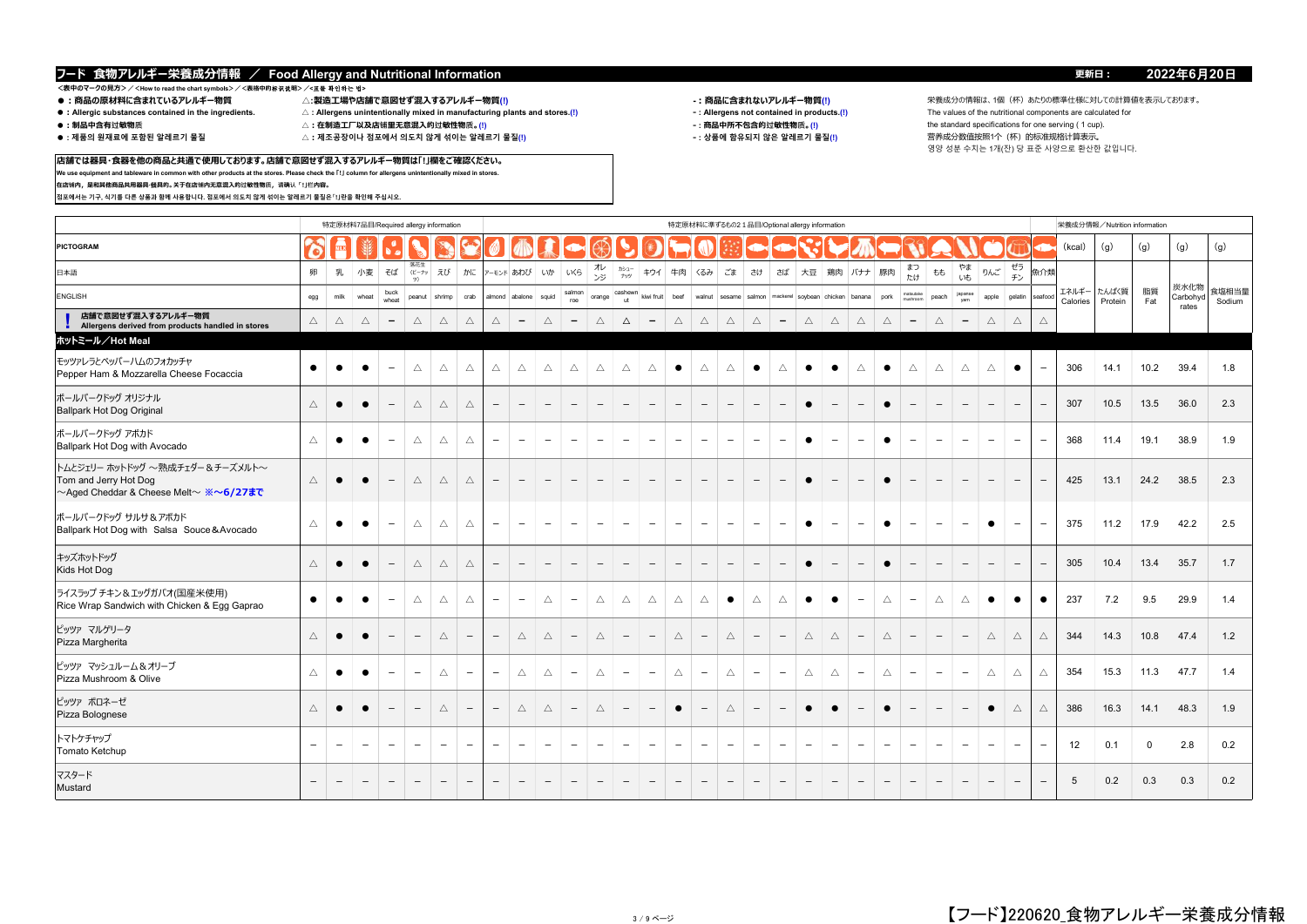# \_<br><表中のマークの見方>/<How to read the chart symbols>/<表格中的标识説明>/**<표를 확인하는 법><br>● :商品の原材料に含まれているアレルギー物質**

**在店铺内,是和其他商品共用器具·餐具的。关于在店铺内无意混入的过敏性物质,请确认「!」栏内容。**

**점포에서는 기구, 식기를 다른 상품과 함께 사용합니다. 점포에서 의도치 않게 섞이는 알레르기 물질은「!」란을 확인해 주십시오.**

- 
- 
- 
- 
- ●:Allergic substances contained in the ingredients. △:Allergens unintentionally mixed in manufacturing plants and stores.(!) <br>●:制品中含有过敏物质 △:在制造工厂以及店铺里无意混入的过敏性物质。(!)
- 
- 
- **店舗では器具・食器を他の商品と共通で使用しております。店舗で意図せず混入するアレルギー物質は「!」欄をご確認ください。**

**We use equipment and tableware in common with other products at the stores. Please check the 「!」 column for allergens unintentionally mixed in stores.**

- 
- -

**●:商品の原材料に含まれているアレルギー物質 △:製造工場や店舗で意図せず混入するアレルギー物質(!) -:商品に含まれないアレルギー物質(!)** 栄養成分の情報は、1個(杯)あたりの標準仕様に対しての計算値を表示しております。 **●:制品中含有过敏物质 △:在制造工厂以及店铺里无意混入的过敏性物质。(!) ‐ : 商品中所不包含的过敏性物质。(!)** the standard specifications for one serving ( 1 cup).  $\triangle$ :제조공장이나 점포에서 의도치 않게 섞이는 알레르기 물질(!) ろ시 インス インス インス インス インス (상품에 함유되지 않은 알레르기 물질(!) しかい 言养成分数值按照1个(杯)的标准规格计算表示。 영양 성분 수치는 1개(잔) 당 표준 사양으로 환산한 값입니다.

|                                                                                                          |                 |                          |                          |                               | 特定原材料7品目/Required allergy information |                          |                          |                          |                          |                          |                          |                          |                          |                          |                                 |                          |                          |                          |                          | 特定原材料に準ずるもの2 1品目/Optional allergy information |                          |                          |                          |                          |                          |                          |                          |                          |                          |                   | 栄養成分情報/Nutrition information |             |                           |                 |
|----------------------------------------------------------------------------------------------------------|-----------------|--------------------------|--------------------------|-------------------------------|---------------------------------------|--------------------------|--------------------------|--------------------------|--------------------------|--------------------------|--------------------------|--------------------------|--------------------------|--------------------------|---------------------------------|--------------------------|--------------------------|--------------------------|--------------------------|-----------------------------------------------|--------------------------|--------------------------|--------------------------|--------------------------|--------------------------|--------------------------|--------------------------|--------------------------|--------------------------|-------------------|------------------------------|-------------|---------------------------|-----------------|
| PICTOGRAM                                                                                                | O.              |                          |                          | $\bullet^{\bullet}_{\bullet}$ |                                       |                          |                          |                          |                          |                          | $\blacktriangleright$    | $\circledcirc$           |                          |                          |                                 |                          |                          |                          |                          |                                               |                          |                          |                          |                          |                          |                          |                          |                          |                          | (kcal)            | (g)                          | (g)         | (g)                       | (g)             |
| 日本語                                                                                                      | 卵               | 乳                        | 小麦                       | そば                            | 落花生<br>(ビーナッ<br>y)                    | えび                       |                          |                          | かに アーモンド あわび いか          |                          | LKS                      | ル<br>ジ                   | カシュー<br>ナッツ              | キウイ                      | 牛肉                              | くるみ                      | ごま                       | さけ                       | さば                       | 大豆   鶏肉   バナナ   豚肉                            |                          |                          |                          | まつ<br>たけ                 | もも                       | やま<br>いも                 | りんご                      | ゼラ<br>チン                 | 魚介類                      |                   |                              |             |                           |                 |
| ENGLISH                                                                                                  | egg             | milk                     | wheat                    | buck<br>wheat                 | peanut                                | shrimp                   | crab                     |                          | almond abalone squid     |                          | salmon<br>roe            | orange                   | cashewn<br>ut            | kiwi fruit               | beef                            | walnut sesame salmon     |                          |                          |                          | mackerel soybean chicken banana               |                          |                          | pork                     | natsutake<br>mishroom    | peach                    | japanse<br>vam           | apple                    | gelatin                  | seafoo                   | エネルギー<br>Calories | たんぱく質<br>Protein             | 脂質<br>Fat   | 炭水化物<br>Carbohyd<br>rates | 食塩相当量<br>Sodium |
| 店舗で意図せず混入するアレルギー物質<br>Allergens derived from products handled in stores                                  | $\triangle$     | Δ                        | $\triangle$              | $\overline{\phantom{a}}$      | $\triangle$                           | $\triangle$              | $\triangle$              | $\triangle$              | $\overline{\phantom{a}}$ | $\triangle$              | $\overline{\phantom{a}}$ | $\triangle$              | $\Delta$                 | $-$                      | $\triangle$                     | $\triangle$              | $\triangle$              | $\triangle$              | $\overline{\phantom{a}}$ | $\triangle$                                   | $\triangle$              | $\triangle$              | $\triangle$              | $\overline{\phantom{a}}$ | $\triangle$              | $\overline{\phantom{a}}$ | $\triangle$              | $\triangle$              |                          |                   |                              |             |                           |                 |
| ホットミール/Hot Meal                                                                                          |                 |                          |                          |                               |                                       |                          |                          |                          |                          |                          |                          |                          |                          |                          |                                 |                          |                          |                          |                          |                                               |                          |                          |                          |                          |                          |                          |                          |                          |                          |                   |                              |             |                           |                 |
| モッツァレラとペッパーハムのフォカッチャ<br>Pepper Ham & Mozzarella Cheese Focaccia                                          | $\bullet$       | $\bullet$                | $\bullet$                | $\overline{\phantom{a}}$      | $\triangle$                           | $\triangle$              | $\triangle$              | $\triangle$              | $\triangle$              | $\triangle$              | $\triangle$              | $\triangle$              | $\triangle$              | $\triangle$              | $\bullet$                       | $\triangle$              | $\triangle$              | $\bullet$                | $\triangle$              | $\bullet$                                     | $\bullet$                | $\triangle$              | $\bullet$                | $\triangle$              | $\triangle$              | $\triangle$              | $\triangle$              | $\bullet$                | $\overline{\phantom{m}}$ | 306               | 14.1                         | 10.2        | 39.4                      | 1.8             |
| ボールパークドッグ オリジナル<br><b>Ballpark Hot Dog Original</b>                                                      | $\triangle$     |                          |                          |                               | Δ                                     | $\triangle$              | $\triangle$              | $\overline{\phantom{m}}$ | $\overline{\phantom{m}}$ | $\overline{\phantom{m}}$ | $\overline{\phantom{a}}$ | $\overline{\phantom{m}}$ | $\overline{\phantom{0}}$ | $\overline{\phantom{m}}$ | $\overline{\phantom{m}}$        | $\qquad \qquad -$        | $\overline{\phantom{0}}$ | $\overline{\phantom{m}}$ | $\overline{\phantom{0}}$ | $\bullet$                                     |                          | $\overline{\phantom{0}}$ | $\bullet$                | $\overline{\phantom{0}}$ | $\overline{\phantom{a}}$ | $\overline{\phantom{m}}$ | $\overline{\phantom{0}}$ |                          | $\overline{\phantom{m}}$ | 307               | 10.5                         | 13.5        | 36.0                      | 2.3             |
| ボールパークドッグ アボカド<br>Ballpark Hot Dog with Avocado                                                          | $\triangle$     | $\bullet$                | $\bullet$                | $\overline{\phantom{a}}$      | Δ                                     | $\triangle$              | Δ                        | $\qquad \qquad -$        | $\overline{\phantom{m}}$ | $\overline{\phantom{a}}$ | $\overline{\phantom{a}}$ | $\overline{\phantom{m}}$ | $\overline{\phantom{m}}$ | $\overline{\phantom{a}}$ | $\overline{\phantom{m}}$        | $\overline{\phantom{m}}$ | $\overline{\phantom{a}}$ | $\overline{\phantom{a}}$ | $\overline{\phantom{m}}$ | $\bullet$                                     | $\overline{\phantom{m}}$ | $\overline{\phantom{a}}$ | $\bullet$                | $\overline{\phantom{a}}$ | $\overline{\phantom{0}}$ | $\overline{\phantom{a}}$ | $\overline{\phantom{a}}$ | $\overline{\phantom{a}}$ | $\overline{\phantom{m}}$ | 368               | 11.4                         | 19.1        | 38.9                      | 1.9             |
| トムとジェリー ホットドッグ ~熟成チェダー&チーズメルト~<br>Tom and Jerry Hot Dog<br>~Aged Cheddar & Cheese Melt~ ※ <b>~6/27まで</b> | $\triangle$     | $\bullet$                |                          |                               | $\triangle$                           | $\triangle$              | $\triangle$              | $\qquad \qquad -$        | $\overline{\phantom{a}}$ | $\overline{\phantom{m}}$ | $\overline{\phantom{a}}$ | $\qquad \qquad -$        | $\overline{\phantom{0}}$ | $\overline{\phantom{m}}$ | $\overline{\phantom{m}}$        | $\overline{\phantom{m}}$ |                          | $\overline{\phantom{m}}$ | $\qquad \qquad -$        | $\bullet$                                     | $\overline{\phantom{a}}$ | $\overline{\phantom{0}}$ | $\bullet$                | $\overline{\phantom{0}}$ | $\qquad \qquad -$        | $\overline{\phantom{m}}$ | $\overline{\phantom{0}}$ | $\overline{\phantom{0}}$ |                          | 425               | 13.1                         | 24.2        | 38.5                      | 2.3             |
| ボールパークドッグ サルサ&アボカド<br>Ballpark Hot Dog with Salsa Souce & Avocado                                        | Δ               | $\bullet$                | $\bullet$                | $\overline{\phantom{m}}$      | Δ                                     | $\triangle$              | $\triangle$              | $\overline{\phantom{0}}$ | $\overline{\phantom{m}}$ | $\overline{\phantom{m}}$ | $\overline{\phantom{m}}$ | $\overline{\phantom{a}}$ | $\overline{\phantom{0}}$ | $\overline{\phantom{m}}$ | $\overline{\phantom{m}}$        | $\overline{\phantom{0}}$ | $\overline{\phantom{a}}$ | $\overline{\phantom{m}}$ | $\overline{\phantom{0}}$ | $\bullet$                                     | $\overline{\phantom{m}}$ | $\overline{\phantom{0}}$ | $\bullet$                | $\overline{\phantom{a}}$ | $\overline{\phantom{0}}$ | $\overline{\phantom{m}}$ | $\bullet$                | $\overline{\phantom{0}}$ | $\overline{\phantom{m}}$ | 375               | 11.2                         | 17.9        | 42.2                      | 2.5             |
| キッズホットドッグ<br>Kids Hot Dog                                                                                | $\triangle$     | $\bullet$                | $\bullet$                | $\overline{\phantom{m}}$      | Δ                                     | $\triangle$              | $\triangle$              | $\overline{\phantom{a}}$ | $\overline{\phantom{0}}$ | $\overline{\phantom{a}}$ | $\overline{\phantom{a}}$ | $\overline{\phantom{a}}$ | $\overline{\phantom{0}}$ | $-$                      | $\hspace{0.1mm}-\hspace{0.1mm}$ | $\overline{\phantom{m}}$ | $\overline{\phantom{a}}$ | $\overline{\phantom{m}}$ | $\overline{\phantom{m}}$ | $\bullet$                                     | $\qquad \qquad -$        | $\overline{\phantom{a}}$ | $\bullet$                | $\overline{\phantom{a}}$ | $\qquad \qquad -$        | $\overline{\phantom{a}}$ | $\overline{\phantom{m}}$ | $\overline{\phantom{a}}$ |                          | 305               | 10.4                         | 13.4        | 35.7                      | 1.7             |
| ライスラップ チキン&エッグガパオ(国産米使用)<br>Rice Wrap Sandwich with Chicken & Egg Gaprao                                 | $\bullet$       |                          | $\bullet$                | $\overline{\phantom{m}}$      | $\triangle$                           | $\triangle$              | $\triangle$              | $\overline{\phantom{a}}$ | $\overline{\phantom{m}}$ | $\triangle$              | $\overline{\phantom{a}}$ | $\triangle$              | $\triangle$              | $\triangle$              | $\triangle$                     | $\triangle$              | $\bullet$                | $\triangle$              | $\triangle$              | $\bullet$                                     | $\bullet$                | $\overline{\phantom{a}}$ | $\triangle$              | $\overline{\phantom{a}}$ | $\triangle$              | $\triangle$              | $\bullet$                | $\bullet$                | $\bullet$                | 237               | 7.2                          | 9.5         | 29.9                      | 1.4             |
| ピッツァ マルゲリータ<br>Pizza Margherita                                                                          | $\triangle$     |                          |                          |                               |                                       | $\triangle$              | $\overline{\phantom{0}}$ | $\qquad \qquad -$        | $\triangle$              | $\triangle$              | $\qquad \qquad -$        | $\triangle$              |                          | $\overline{\phantom{m}}$ | $\triangle$                     |                          | $\triangle$              | $\overline{\phantom{m}}$ | $\overline{\phantom{m}}$ | $\triangle$                                   | $\triangle$              | $\overline{\phantom{a}}$ | $\triangle$              | $\overline{\phantom{a}}$ | $\qquad \qquad -$        | $\overline{\phantom{m}}$ | $\triangle$              | $\triangle$              | $\triangle$              | 344               | 14.3                         | 10.8        | 47.4                      | 1.2             |
| ピッツァ マッシュルーム&オリーブ<br>Pizza Mushroom & Olive                                                              | $\triangle$     | $\bullet$                | $\bullet$                | $\overline{\phantom{m}}$      | $\overline{\phantom{m}}$              | $\triangle$              | $\overline{\phantom{m}}$ | $\overline{\phantom{a}}$ | $\triangle$              | $\triangle$              | $\overline{\phantom{m}}$ | $\triangle$              | $\overline{\phantom{m}}$ | $\overline{\phantom{m}}$ | $\triangle$                     | $\overline{\phantom{m}}$ | $\triangle$              | $\overline{\phantom{a}}$ | $\overline{\phantom{m}}$ | $\triangle$                                   | $\triangle$              | $\overline{\phantom{m}}$ | $\triangle$              | $\overline{\phantom{a}}$ | $\overline{\phantom{a}}$ | $\overline{\phantom{a}}$ | $\triangle$              | $\triangle$              | $\triangle$              | 354               | 15.3                         | 11.3        | 47.7                      | 1.4             |
| ピッツァ ボロネーゼ<br>Pizza Bolognese                                                                            | $\triangle$     |                          | $\bullet$                |                               | $\overline{\phantom{m}}$              | $\triangle$              | $\overline{\phantom{0}}$ | $\overline{\phantom{m}}$ | $\triangle$              | $\triangle$              | $\qquad \qquad -$        | $\triangle$              |                          | $-$                      | $\bullet$                       | $\qquad \qquad -$        | $\triangle$              | $\overline{\phantom{m}}$ | $\overline{\phantom{m}}$ | $\bullet$                                     | $\bullet$                | $\overline{\phantom{a}}$ | $\bullet$                |                          | $\overline{\phantom{a}}$ | $\overline{\phantom{m}}$ | $\bullet$                | $\triangle$              | $\triangle$              | 386               | 16.3                         | 14.1        | 48.3                      | 1.9             |
| トマトケチャップ<br>Tomato Ketchup                                                                               | $\qquad \qquad$ | $\overline{\phantom{0}}$ | $\overline{\phantom{0}}$ | $\overline{\phantom{m}}$      | $\overline{\phantom{m}}$              | $\overline{\phantom{0}}$ | $\qquad \qquad -$        | $\overline{\phantom{0}}$ | $\overline{\phantom{m}}$ | $\overline{\phantom{a}}$ | $\overline{\phantom{m}}$ | $\overline{\phantom{a}}$ | $\overline{\phantom{a}}$ | $\overline{\phantom{a}}$ | $\overline{\phantom{a}}$        | $\overline{\phantom{m}}$ | $\overline{\phantom{a}}$ | $\overline{\phantom{m}}$ | $\overline{\phantom{m}}$ | $\overline{\phantom{a}}$                      | $\overline{\phantom{m}}$ | $\overline{\phantom{a}}$ | $\overline{\phantom{m}}$ | $\overline{\phantom{a}}$ | $\overline{\phantom{0}}$ | $\overline{\phantom{a}}$ | $\overline{\phantom{a}}$ | $\overline{\phantom{0}}$ | $\overline{\phantom{a}}$ | 12                | 0.1                          | $\mathbf 0$ | 2.8                       | 0.2             |
| マスタード<br>Mustard                                                                                         |                 |                          | $\overline{\phantom{a}}$ | $\overline{\phantom{m}}$      | $\overline{\phantom{a}}$              | $\overline{\phantom{a}}$ | $\overline{\phantom{a}}$ | $\overline{\phantom{a}}$ | $\overline{\phantom{a}}$ | $\overline{\phantom{a}}$ | $\overline{\phantom{a}}$ | $\overline{\phantom{m}}$ | $\overline{\phantom{a}}$ | $\overline{\phantom{a}}$ | $\overline{\phantom{a}}$        | $\overline{\phantom{a}}$ | $\overline{\phantom{a}}$ | $-$                      | $\overline{\phantom{a}}$ | $\overline{\phantom{a}}$                      | $\qquad \qquad -$        | $-$                      | $\overline{\phantom{a}}$ | $\overline{\phantom{a}}$ | $\qquad \qquad -$        | $\overline{\phantom{a}}$ | $\overline{\phantom{a}}$ | $\overline{\phantom{a}}$ |                          | 5                 | 0.2                          | 0.3         | 0.3                       | 0.2             |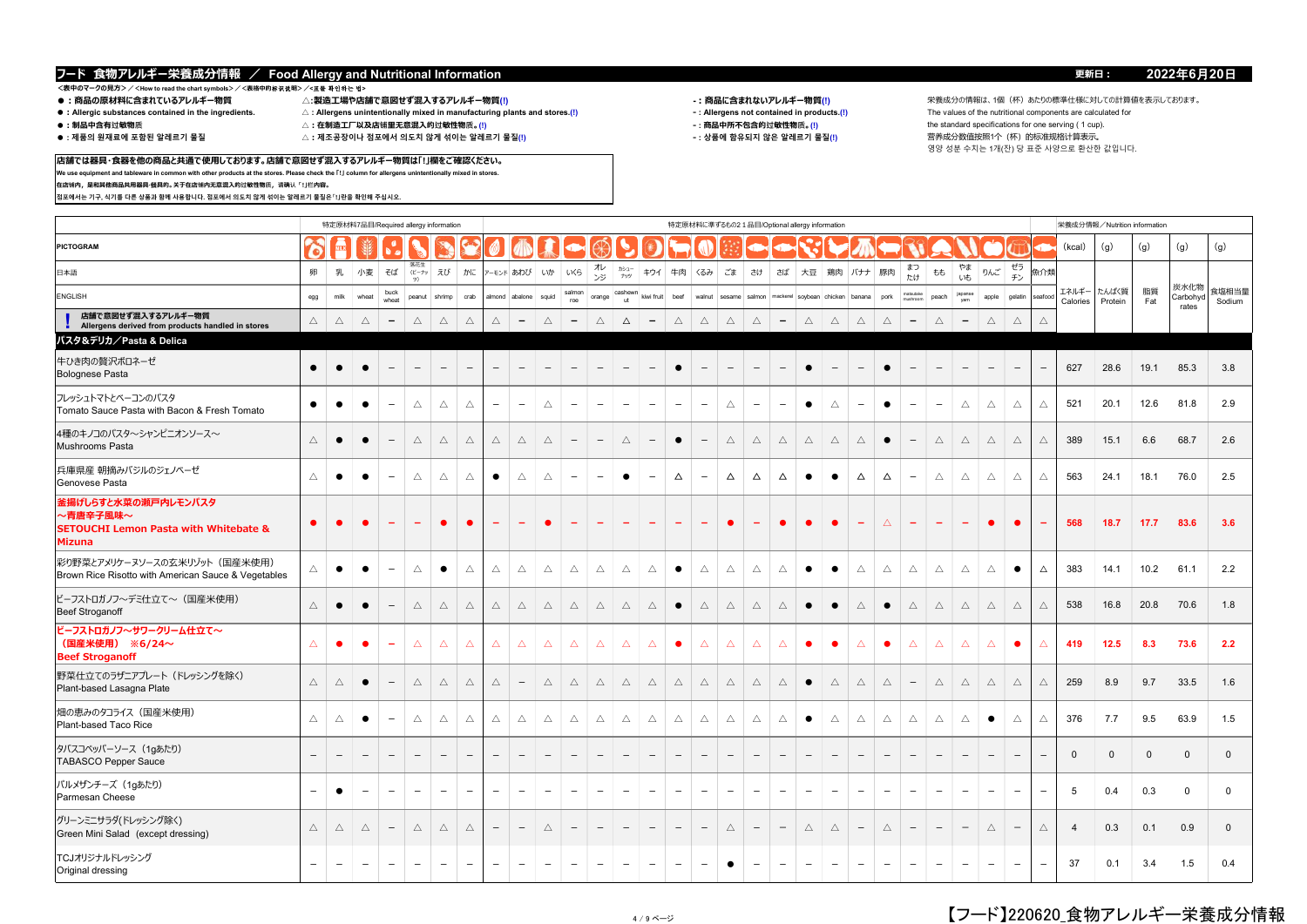**店舗では器具・食器を他の商品と共通で使用しております。店舗で意図せず混入するアレルギー物質は「!」欄をご確認ください。 We use equipment and tableware in common with other products at the stores. Please check the 「!」 column for allergens unintentionally mixed in stores.**

# <表中のマークの見方>/<How to read the chart symbols>/<表格中的<del>杯</del>K说明>/<표를 확인하는 법><br>● :商品の原材料に含まれているアレルギー物質 △:製造工場や店舗で意図せず混入するアレルギー物質(!)

**在店铺内,是和其他商品共用器具·餐具的。关于在店铺内无意混入的过敏性物质,请确认「!」栏内容。**

**점포에서는 기구, 식기를 다른 상품과 함께 사용합니다. 점포에서 의도치 않게 섞이는 알레르기 물질은「!」란을 확인해 주십시오.**

- 
- 
- 
- 
- ●:Allergic substances contained in the ingredients. △:Allergens unintentionally mixed in manufacturing plants and stores.(!) <br>●:制品中含有过敏物质 △:在制造工厂以及店铺里无意混入的过敏性物质。(!)
- 
- 
- $\triangle$  : 제조공장이나 점포에서 의도치 않게 섞이는 알레르기 물질(!)

- 
- -

**●:商品の原材料に含まれているアレルギー物質 △:製造工場や店舗で意図せず混入するアレルギー物質(!) -:商品に含まれないアレルギー物質(!)** 栄養成分の情報は、1個(杯)あたりの標準仕様に対しての計算値を表示しております。 **●:制品中含有过敏物质 △:在制造工厂以及店铺里无意混入的过敏性物质。(!) ‐ : 商品中所不包含的过敏性物质。(!)** the standard specifications for one serving ( 1 cup). 영양 성분 수치는 1개(잔) 당 표준 사양으로 환산한 값입니다.

|                                                                                                      |                          |                          |                          |                          | 特定原材料7品目/Required allergy information |                          |                          |                          |                          |                          |                          |                          |                          |                          |                          |                          |                          |                          |                          | 特定原材料に準ずるもの2 1品目/Optional allergy information |                          |                          |                          |                                 |                          |                          |                          |                          |                          |                   | 栄養成分情報/Nutrition information |             |                           |                 |
|------------------------------------------------------------------------------------------------------|--------------------------|--------------------------|--------------------------|--------------------------|---------------------------------------|--------------------------|--------------------------|--------------------------|--------------------------|--------------------------|--------------------------|--------------------------|--------------------------|--------------------------|--------------------------|--------------------------|--------------------------|--------------------------|--------------------------|-----------------------------------------------|--------------------------|--------------------------|--------------------------|---------------------------------|--------------------------|--------------------------|--------------------------|--------------------------|--------------------------|-------------------|------------------------------|-------------|---------------------------|-----------------|
| PICTOGRAM                                                                                            | G                        |                          |                          |                          |                                       |                          |                          |                          |                          |                          |                          |                          |                          |                          |                          |                          |                          |                          |                          |                                               |                          |                          |                          |                                 |                          |                          |                          |                          |                          | (kcal)            | (g)                          | (g)         | (g)                       | (g)             |
| 日本語                                                                                                  | 卵                        | 乳                        | 小麦                       | そば                       | 落花生<br>(ビーナッ<br>ツ)                    | えび                       | かに                       |                          | ァーモンド あわび いか             |                          | いくら                      | オレ<br>ンジ                 | カシュー<br>ナッツ              | キウイ                      | 牛肉 くるみ                   |                          | ごま                       | さけ                       | さば                       | 大豆   鶏肉   バナナ   豚肉                            |                          |                          |                          | まつ<br>たけ                        | もも                       | やま<br>いも                 | りんご                      | ゼラ<br>チン                 | 魚介類                      |                   |                              |             |                           |                 |
| <b>ENGLISH</b>                                                                                       | egg                      | milk                     | wheat                    | buck<br>wheat            | peanut                                | shrimp                   | crab                     |                          | almond abalone squid     |                          | salmon<br>roe            | orange                   | cashewn<br><b>ut</b>     | kiwi fruit               | beef                     | walnut sesame salmon     |                          |                          |                          | mackerel soybean chicken banana               |                          |                          | pork                     | matsutake<br>mushroom           | peach                    | japanse                  | apple                    | gelatin                  | seafood                  | エネルギー<br>Calories | たんぱく質<br>Protein             | 脂質<br>Fat   | 炭水化物<br>Carbohyd<br>rates | 食塩相当量<br>Sodium |
| 店舗で意図せず混入するアレルギー物質<br>Allergens derived from products handled in stores                              | $\triangle$              | Δ                        | $\triangle$              | $\qquad \qquad -$        | $\triangle$                           | $\triangle$              | Δ                        | $\triangle$              | $\overline{\phantom{a}}$ | $\triangle$              | $\overline{\phantom{a}}$ | $\triangle$              | $\Delta$                 | $\qquad \qquad -$        | $\triangle$              | $\triangle$              | $\triangle$              | $\triangle$              | $\qquad \qquad -$        | $\triangle$                                   | $\triangle$              | $\triangle$              | Δ                        | $\overline{\phantom{a}}$        | $\triangle$              | $\overline{\phantom{m}}$ | $\triangle$              | $\triangle$              | Δ                        |                   |                              |             |                           |                 |
| パスタ&デリカ/Pasta & Delica                                                                               |                          |                          |                          |                          |                                       |                          |                          |                          |                          |                          |                          |                          |                          |                          |                          |                          |                          |                          |                          |                                               |                          |                          |                          |                                 |                          |                          |                          |                          |                          |                   |                              |             |                           |                 |
| 牛ひき肉の贅沢ボロネーゼ<br><b>Bolognese Pasta</b>                                                               | $\bullet$                |                          | $\bullet$                | $\overline{\phantom{a}}$ | $\overline{\phantom{m}}$              |                          | $\overline{\phantom{a}}$ | $\overline{\phantom{a}}$ | $\overline{\phantom{a}}$ | $\overline{\phantom{a}}$ | $\overline{\phantom{m}}$ | $\overline{\phantom{a}}$ | $\overline{\phantom{m}}$ | $\overline{\phantom{m}}$ | $\bullet$                | $\qquad \qquad -$        | $\overline{\phantom{a}}$ | $\overline{\phantom{m}}$ | $\overline{\phantom{m}}$ | $\bullet$                                     | $\overline{\phantom{m}}$ | $\overline{\phantom{a}}$ | $\bullet$                | $\overline{\phantom{a}}$        | $\overline{\phantom{a}}$ | $\overline{\phantom{a}}$ | $\overline{\phantom{m}}$ | $\overline{\phantom{m}}$ | $\overline{\phantom{a}}$ | 627               | 28.6                         | 19.1        | 85.3                      | 3.8             |
| フレッシュトマトとベーコンのパスタ<br>Tomato Sauce Pasta with Bacon & Fresh Tomato                                    | $\bullet$                | $\bullet$                | $\bullet$                | $\overline{\phantom{m}}$ | $\triangle$                           | $\triangle$              | $\triangle$              | $\overline{\phantom{m}}$ | $\overline{\phantom{m}}$ | $\Delta$                 | $\overline{\phantom{m}}$ | $\overline{\phantom{m}}$ | $\overline{\phantom{m}}$ | $\overline{\phantom{m}}$ | $\overline{\phantom{a}}$ | $\overline{\phantom{a}}$ | $\triangle$              | $\overline{\phantom{a}}$ | $\overline{\phantom{0}}$ | $\bullet$                                     | $\triangle$              | $\overline{\phantom{m}}$ | $\bullet$                | $\overline{\phantom{m}}$        | $\overline{\phantom{m}}$ | $\triangle$              | $\triangle$              | $\triangle$              | $\triangle$              | 521               | 20.1                         | 12.6        | 81.8                      | 2.9             |
| 4種のキノコのパスタ~シャンピニオンソース~<br><b>Mushrooms Pasta</b>                                                     | $\triangle$              | $\bullet$                | $\bullet$                | $\overline{\phantom{a}}$ | $\triangle$                           | $\triangle$              | $\triangle$              | $\triangle$              | $\triangle$              | $\triangle$              | $\overline{\phantom{m}}$ | $\overline{\phantom{m}}$ | $\triangle$              | $\overline{\phantom{a}}$ | $\bullet$                | $\overline{\phantom{a}}$ | $\triangle$              | $\triangle$              | $\triangle$              | $\triangle$                                   | $\triangle$              | $\triangle$              | $\bullet$                | $\overline{\phantom{m}}$        | $\triangle$              | $\triangle$              | $\triangle$              | $\triangle$              | $\triangle$              | 389               | 15.1                         | 6.6         | 68.7                      | 2.6             |
| 兵庫県産 朝摘みバジルのジェノベーゼ<br>Genovese Pasta                                                                 | Δ                        | $\bullet$                | $\bullet$                | $\overline{\phantom{a}}$ | Δ                                     | Δ                        | $\triangle$              | $\bullet$                | Δ                        | $\Delta$                 | $\overline{\phantom{m}}$ | $\overline{\phantom{m}}$ | $\bullet$                | $\overline{\phantom{a}}$ | $\Delta$                 | $\overline{\phantom{0}}$ | $\triangle$              | $\Delta$                 | Δ                        | $\bullet$                                     | $\bullet$                | $\Delta$                 | Δ                        | $\overline{\phantom{a}}$        | Δ                        | $\triangle$              | $\triangle$              | $\triangle$              | $\triangle$              | 563               | 24.1                         | 18.1        | 76.0                      | 2.5             |
| 釜揚げしらすと水菜の瀬戸内レモンパスタ<br>~青唐辛子風味~<br><b>SETOUCHI Lemon Pasta with Whitebate &amp;</b><br><b>Mizuna</b> | $\bullet$                |                          |                          |                          | ۳                                     |                          | $\bullet$                |                          | $\overline{\phantom{0}}$ | $\bullet$                |                          |                          |                          | $\overline{\phantom{0}}$ | $\overline{\phantom{0}}$ | $\overline{\phantom{0}}$ |                          | $\overline{\phantom{0}}$ | $\bullet$                | $\bullet$                                     | $\bullet$                |                          | $\triangle$              | ۰                               | $\overline{\phantom{0}}$ | $\overline{\phantom{0}}$ | $\bullet$                |                          |                          | 568               | 18.7                         | 17.7        | 83.6                      | 3.6             |
| 彩り野菜とアメリケーヌソースの玄米リゾット(国産米使用)<br>Brown Rice Risotto with American Sauce & Vegetables                  | Δ                        | $\bullet$                | $\bullet$                | $\overline{\phantom{a}}$ | Δ                                     | $\bullet$                | Δ                        | $\triangle$              | $\triangle$              | $\triangle$              | $\triangle$              | $\triangle$              | $\triangle$              | $\triangle$              | $\bullet$                | $\triangle$              | $\triangle$              | $\triangle$              | $\triangle$              | $\bullet$                                     | $\bullet$                | $\triangle$              | $\triangle$              | $\triangle$                     | $\triangle$              | $\triangle$              | Δ                        | $\bullet$                | Δ                        | 383               | 14.1                         | 10.2        | 61.1                      | 2.2             |
| ビーフストロガノフ〜デミ仕立て〜(国産米使用)<br><b>Beef Stroganoff</b>                                                    | $\triangle$              | $\bullet$                | $\bullet$                | $\overline{\phantom{0}}$ | Δ                                     | $\triangle$              | $\triangle$              | $\triangle$              | $\triangle$              | $\triangle$              | $\triangle$              | $\triangle$              | $\triangle$              | $\triangle$              | $\bullet$                | $\triangle$              | $\triangle$              | $\triangle$              | $\triangle$              | $\bullet$                                     | $\bullet$                | $\triangle$              | $\bullet$                | $\triangle$                     | $\triangle$              | $\triangle$              | $\triangle$              | $\triangle$              | $\triangle$              | 538               | 16.8                         | 20.8        | 70.6                      | 1.8             |
| ビーフストロガノフ~サワークリーム仕立て~<br>(国産米使用) ※6/24~<br><b>Beef Stroganoff</b>                                    | $\triangle$              |                          | $\bullet$                | $\overline{\phantom{a}}$ | $\Delta$                              | $\Delta$                 | $\Delta$                 | $\Delta$                 | $\triangle$              | $\Delta$                 | $\triangle$              | $\Delta$                 | $\Delta$                 | $\Delta$                 | $\bullet$                | $\triangle$              | $\Delta$                 | $\Delta$                 | $\Delta$                 | $\bullet$                                     | $\bullet$                | $\Delta$                 | $\bullet$                | $\Delta$                        | $\Delta$                 | $\Delta$                 | $\Delta$                 | $\bullet$                | $\triangle$              | 419               | 12.5                         | 8.3         | 73.6                      | 2.2             |
| 野菜仕立てのラザニアプレート(ドレッシングを除く)<br>Plant-based Lasagna Plate                                               | $\triangle$              | Δ                        | $\bullet$                | $\overline{\phantom{a}}$ | $\triangle$                           | $\triangle$              | $\triangle$              | $\triangle$              | $\overline{\phantom{m}}$ | $\triangle$              | $\triangle$              | $\triangle$              | $\triangle$              | $\triangle$              | $\triangle$              | $\bigtriangleup$         | $\triangle$              | $\triangle$              | $\triangle$              | $\bullet$                                     | $\triangle$              | $\triangle$              | $\bigtriangleup$         | $\overline{\phantom{m}}$        | $\triangle$              | $\triangle$              | $\triangle$              | $\triangle$              | $\triangle$              | 259               | 8.9                          | 9.7         | 33.5                      | 1.6             |
| 畑の恵みのタコライス(国産米使用)<br>Plant-based Taco Rice                                                           | Δ                        | Δ                        | $\bullet$                | $\overline{\phantom{m}}$ | Δ                                     | $\triangle$              | $\triangle$              | $\triangle$              | $\triangle$              | $\triangle$              | $\triangle$              | Δ                        | $\triangle$              | Δ                        | $\triangle$              | $\triangle$              | $\triangle$              | $\triangle$              | $\triangle$              | $\bullet$                                     | $\triangle$              | $\triangle$              | Δ                        | $\triangle$                     | $\triangle$              | $\triangle$              | $\bullet$                | $\triangle$              | Δ                        | 376               | 7.7                          | 9.5         | 63.9                      | 1.5             |
| タバスコペッパーソース (1gあたり)<br><b>TABASCO Pepper Sauce</b>                                                   | $\qquad \qquad -$        |                          | $\overline{\phantom{m}}$ | $\overline{\phantom{m}}$ | $\overline{\phantom{m}}$              | $\overline{\phantom{0}}$ | $\qquad \qquad -$        | $\overline{\phantom{m}}$ | $\overline{\phantom{m}}$ | $\overline{\phantom{a}}$ | $\overline{\phantom{m}}$ | $\overline{\phantom{m}}$ | $\overline{\phantom{m}}$ | $\overline{\phantom{m}}$ | $\overline{\phantom{a}}$ | $\overline{\phantom{m}}$ | $\overline{\phantom{m}}$ | $\overline{\phantom{m}}$ | $\qquad \qquad -$        | $\overline{\phantom{a}}$                      | $\overline{\phantom{m}}$ | $\overline{\phantom{a}}$ | $\overline{\phantom{m}}$ | $\overline{\phantom{m}}$        | $\overline{\phantom{m}}$ | $\overline{\phantom{m}}$ | $\overline{\phantom{m}}$ | $\overline{\phantom{a}}$ | $\overline{\phantom{a}}$ | $\mathbf 0$       | $\mathsf 0$                  | $\mathbf 0$ | $\mathbf 0$               | $\mathbf 0$     |
| パルメザンチーズ (1gあたり)<br>Parmesan Cheese                                                                  | $\overline{\phantom{m}}$ | $\bullet$                | $\overline{\phantom{m}}$ | $\overline{\phantom{a}}$ | $\overline{\phantom{m}}$              | $\overline{\phantom{0}}$ | $\qquad \qquad -$        | $\overline{\phantom{a}}$ | $\overline{\phantom{a}}$ | $\overline{\phantom{a}}$ | $\overline{\phantom{m}}$ | $\overline{\phantom{m}}$ | $\overline{\phantom{a}}$ | $\overline{\phantom{m}}$ | $\overline{\phantom{a}}$ | $\overline{\phantom{m}}$ | $\overline{\phantom{a}}$ | $\overline{\phantom{m}}$ | $\overline{\phantom{0}}$ | $\overline{\phantom{m}}$                      | $\overline{\phantom{m}}$ | $\overline{\phantom{a}}$ | $\overline{\phantom{m}}$ | $\overline{\phantom{a}}$        | $\overline{\phantom{m}}$ | $\overline{\phantom{a}}$ | $\overline{\phantom{m}}$ | $\qquad \qquad -$        | $\overline{\phantom{m}}$ | 5                 | 0.4                          | 0.3         | $\mathbf{0}$              | $\mathbf 0$     |
| グリーンミニサラダ(ドレッシング除く)<br>Green Mini Salad (except dressing)                                            | $\triangle$              | $\bigtriangleup$         | $\triangle$              | $\overline{\phantom{m}}$ | $\triangle$                           | $\triangle$              | $\triangle$              | $\overline{\phantom{m}}$ | $\overline{\phantom{m}}$ | $\triangle$              | $\overline{\phantom{m}}$ | $\overline{\phantom{m}}$ | $\overline{\phantom{a}}$ | $\overline{\phantom{m}}$ | $-$                      | $\qquad \qquad -$        | $\triangle$              | $-$                      | $\overline{\phantom{0}}$ | $\triangle$                                   | $\triangle$              | $-$                      | $\bigtriangleup$         | $\hspace{0.1mm}-\hspace{0.1mm}$ | $\overline{\phantom{m}}$ | $\overline{\phantom{m}}$ | $\bigtriangleup$         | $\qquad \qquad -$        | $\triangle$              | $\overline{4}$    | 0.3                          | 0.1         | 0.9                       | $\mathbf 0$     |
| TCJオリジナルドレッシング<br>Original dressing                                                                  | $\overline{\phantom{0}}$ | $\overline{\phantom{0}}$ | $\overline{\phantom{a}}$ | $\overline{\phantom{a}}$ | $\overline{\phantom{a}}$              | $\overline{\phantom{m}}$ | $\overline{\phantom{a}}$ | $\overline{\phantom{a}}$ | $\overline{\phantom{m}}$ | $\overline{\phantom{a}}$ | $\overline{\phantom{m}}$ | $\overline{\phantom{a}}$ | $\overline{\phantom{m}}$ | $\overline{\phantom{a}}$ | $\overline{\phantom{m}}$ | $\overline{\phantom{m}}$ | $\bullet$                | $-$                      | $\overline{\phantom{a}}$ | $\overline{\phantom{m}}$                      | $\overline{\phantom{m}}$ | $\overline{\phantom{m}}$ | $\overline{\phantom{a}}$ | $\overline{\phantom{m}}$        | $\overline{\phantom{m}}$ | $\overline{\phantom{a}}$ | $\overline{\phantom{m}}$ | $\qquad \qquad -$        | $\overline{\phantom{m}}$ | 37                | 0.1                          | 3.4         | 1.5                       | 0.4             |

## **更新日: 2022**年**6**月**20**日

 $\mathbb{R}$ 

 $\mathbf{I}$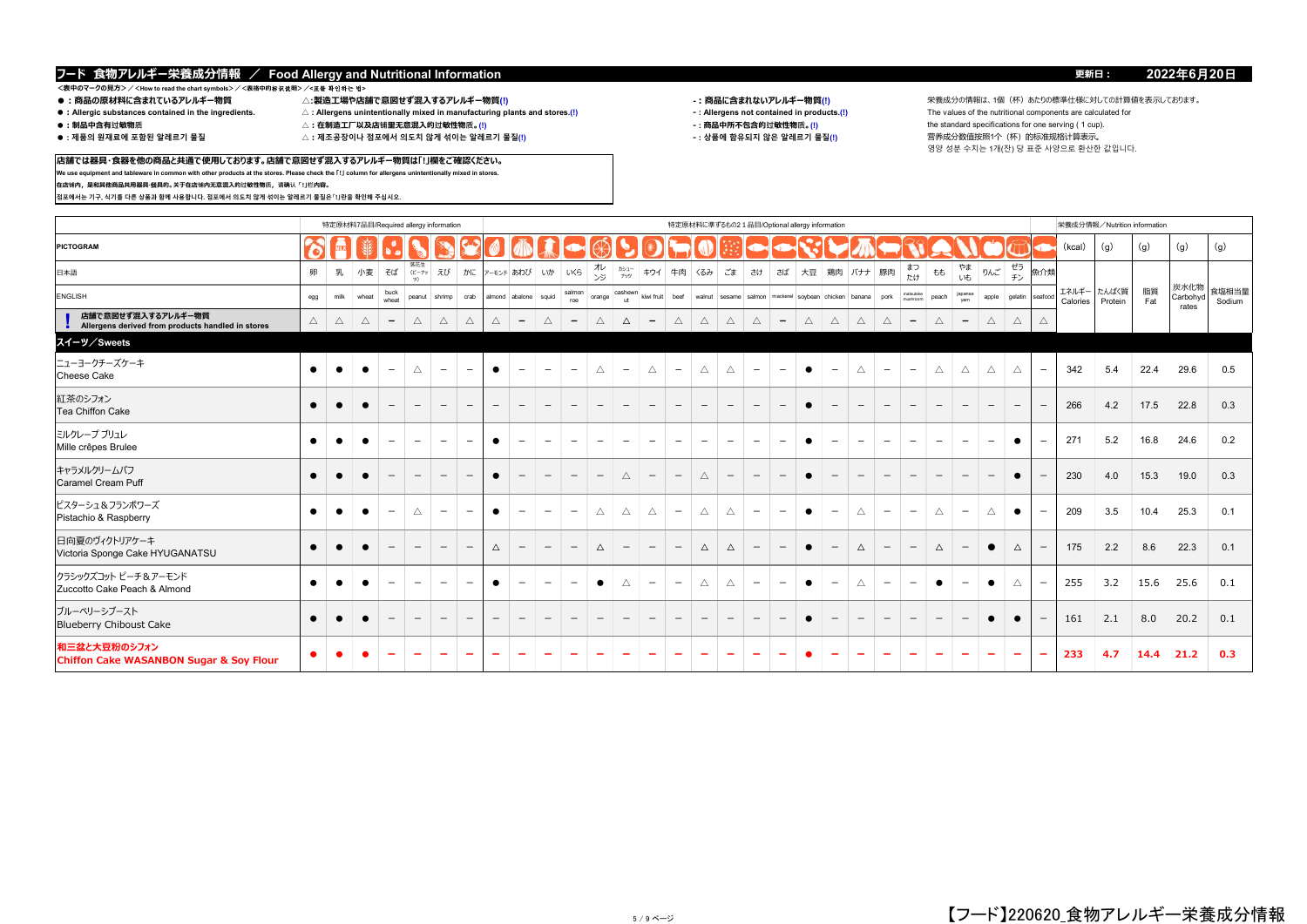**店舗では器具・食器を他の商品と共通で使用しております。店舗で意図せず混入するアレルギー物質は「!」欄をご確認ください。 We use equipment and tableware in common with other products at the stores. Please check the 「!」 column for allergens unintentionally mixed in stores.**

# <表中のマークの見方>/<How to read the chart symbols>/<表格中的<del>杯</del>K说明>/<표를 확인하는 법><br>● :商品の原材料に含まれているアレルギー物質 △:製造工場や店舗で意図せず混入するアレルギー物質(!)

**在店铺内,是和其他商品共用器具·餐具的。关于在店铺内无意混入的过敏性物质,请确认「!」栏内容。**

**점포에서는 기구, 식기를 다른 상품과 함께 사용합니다. 점포에서 의도치 않게 섞이는 알레르기 물질은「!」란을 확인해 주십시오.**

- 
- 
- 
- 
- ●:Allergic substances contained in the ingredients. △:Allergens unintentionally mixed in manufacturing plants and stores.(!) <br>●:制品中含有过敏物质 △:在制造工厂以及店铺里无意混入的过敏性物质。(!)
- 
- $\triangle$  : 제조공장이나 점포에서 의도치 않게 섞이는 알레르기 물질(!)
	-

- 
- -

**●:商品の原材料に含まれているアレルギー物質 △:製造工場や店舗で意図せず混入するアレルギー物質(!) -:商品に含まれないアレルギー物質(!)** 栄養成分の情報は、1個(杯)あたりの標準仕様に対しての計算値を表示しております。 **●:制品中含有过敏物质 △:在制造工厂以及店铺里无意混入的过敏性物质。(!) ‐ : 商品中所不包含的过敏性物质。(!)** the standard specifications for one serving ( 1 cup). 영양 성분 수치는 1개(잔) 당 표준 사양으로 환산한 값입니다.

|                                                                         |             |      | 特定原材料7品目/Required allergy information |                          |                          |                          |                          |                          |                           |                          |                          |                          |                          |                          |                          |                          |                          |                          |                          | 特定原材料に準ずるもの2 1品目/Optional allergy information                        |                          |                          |                          |                          |                          |                          |                          |             |                          | 栄養成分情報/Nutrition information |                  |           |                           |                 |
|-------------------------------------------------------------------------|-------------|------|---------------------------------------|--------------------------|--------------------------|--------------------------|--------------------------|--------------------------|---------------------------|--------------------------|--------------------------|--------------------------|--------------------------|--------------------------|--------------------------|--------------------------|--------------------------|--------------------------|--------------------------|----------------------------------------------------------------------|--------------------------|--------------------------|--------------------------|--------------------------|--------------------------|--------------------------|--------------------------|-------------|--------------------------|------------------------------|------------------|-----------|---------------------------|-----------------|
| <b>PICTOGRAM</b>                                                        |             |      |                                       |                          |                          |                          |                          |                          |                           |                          |                          |                          |                          |                          |                          |                          |                          |                          |                          |                                                                      |                          |                          |                          |                          |                          |                          |                          |             |                          | (kcal)                       | (q)              | (g)       | (g)                       | (g)             |
| 日本語                                                                     | 卵           | 乳    | 小麦                                    | そば                       | 落花生<br>ビーナッ<br>ツ)        | えび                       |                          |                          |                           | かに アーモンド あわび いか いくら      |                          | オレ<br>ンジ                 | カシュー<br>ナッツ              | キウイ                      | 牛肉 くるみ                   |                          | ごま                       | さけ                       |                          | さば   大豆   鶏肉   バナナ   豚肉                                              |                          |                          |                          | まつ<br>たけ                 | もも                       | やま<br>いも                 | りんご                      | ゼラ<br>チン    | 魚介類                      |                              |                  |           |                           |                 |
| ENGLISH                                                                 | egg         | milk | wheat                                 | buck<br>wheat            | peanut shrimp            |                          |                          |                          | crab almond abalone squid |                          | salmon<br>roe            | orange                   | cashewn<br>ut.           |                          |                          |                          |                          |                          |                          | kiwi fruit beef walnut sesame salmon mackerel soybean chicken banana |                          |                          | pork                     | matsutake<br>mushroom    | peach                    | japanse                  | apple                    | gelatin     | seafood                  | エネルギー<br>Calories            | たんぱく質<br>Protein | 脂質<br>Fat | 炭水化物<br>Carbohyd<br>rates | 食塩相当量<br>Sodium |
| 店舗で意図せず混入するアレルギー物質<br>Allergens derived from products handled in stores | $\triangle$ | Δ    | $\triangle$                           | $\overline{\phantom{a}}$ | $\triangle$              | $\triangle$              | $\triangle$              | $\triangle$              | $\overline{\phantom{a}}$  | $\triangle$              | $\overline{\phantom{a}}$ | $\triangle$              | $\Delta$                 | $-$                      | $\triangle$              | $\triangle$              | $\triangle$              | $\triangle$              | $\overline{\phantom{a}}$ | $\triangle$                                                          | $\triangle$              | $\triangle$              | $\triangle$              | $\overline{\phantom{a}}$ | $\triangle$              | $-$                      | Δ                        | $\triangle$ |                          |                              |                  |           |                           |                 |
| スイーツ/Sweets                                                             |             |      |                                       |                          |                          |                          |                          |                          |                           |                          |                          |                          |                          |                          |                          |                          |                          |                          |                          |                                                                      |                          |                          |                          |                          |                          |                          |                          |             |                          |                              |                  |           |                           |                 |
| ニューヨークチーズケーキ<br>Cheese Cake                                             | $\bullet$   |      |                                       | $\overline{\phantom{m}}$ | Δ                        | $\overline{\phantom{0}}$ | $\qquad \qquad -$        | $\bullet$                | $\overline{\phantom{a}}$  | $\overline{\phantom{a}}$ | $\overline{\phantom{a}}$ | $\triangle$              | $\overline{\phantom{0}}$ | $\triangle$              | $\overline{\phantom{m}}$ | Δ                        | $\triangle$              | $\overline{\phantom{m}}$ | $\overline{\phantom{m}}$ | $\bullet$                                                            | $\qquad \qquad -$        | $\triangle$              | $\overline{\phantom{a}}$ | $\overline{\phantom{a}}$ | $\triangle$              | $\triangle$              | Δ                        | $\triangle$ | $\overline{\phantom{m}}$ | 342                          | 5.4              | 22.4      | 29.6                      | 0.5             |
| 紅茶のシフォン<br>Tea Chiffon Cake                                             | $\bullet$   |      |                                       | $\overline{\phantom{a}}$ | $\overline{\phantom{0}}$ | $\overline{\phantom{0}}$ | $\overline{\phantom{0}}$ | $-$                      | $\overline{\phantom{0}}$  | $\overline{\phantom{m}}$ | $\overline{\phantom{m}}$ |                          | $\overline{\phantom{0}}$ | $\overline{\phantom{0}}$ | $-$                      | $\overline{\phantom{0}}$ |                          | $\overline{\phantom{m}}$ | $\overline{\phantom{0}}$ | $\bullet$                                                            | $\qquad \qquad -$        | $-$                      | $\overline{\phantom{0}}$ | $\overline{\phantom{a}}$ | $\overline{\phantom{0}}$ | $\overline{\phantom{a}}$ | $\overline{\phantom{m}}$ | $-$         | $\overline{\phantom{a}}$ | 266                          | 4.2              | 17.5      | 22.8                      | 0.3             |
| ミルクレープ ブリュレ<br>Mille crêpes Brulee                                      | $\bullet$   |      |                                       | $\overline{\phantom{a}}$ | $\overline{\phantom{0}}$ | $\sim$                   | $\qquad \qquad -$        | $\bullet$                | $\overline{\phantom{a}}$  | $\overline{\phantom{a}}$ | $\qquad \qquad -$        | $\overline{\phantom{a}}$ | $\equiv$                 | $\qquad \qquad -$        | $\overline{\phantom{0}}$ | $\overline{\phantom{m}}$ | $\overline{\phantom{0}}$ | $\qquad \qquad -$        | $\qquad \qquad$          | $\bullet$                                                            | $\qquad \qquad -$        | $\qquad \qquad -$        | $\qquad \qquad$          | $\overline{\phantom{a}}$ | $\qquad \qquad -$        | $\qquad \qquad -$        | $\overline{\phantom{a}}$ | $\bullet$   | $\overline{\phantom{m}}$ | 271                          | 5.2              | 16.8      | 24.6                      | 0.2             |
| キャラメルクリームパフ<br><b>Caramel Cream Puff</b>                                | $\bullet$   |      |                                       | $\qquad \qquad -$        | $\overline{\phantom{m}}$ | $\qquad \qquad -$        |                          | $\bullet$                | $\qquad \qquad -$         | $\qquad \qquad -$        | $\overline{\phantom{0}}$ | $\qquad \qquad -$        | $\triangle$              | $\overline{\phantom{0}}$ | $-$                      | $\triangle$              | $-$                      | $\qquad \qquad -$        | $-$                      | $\bullet$                                                            | $\qquad \qquad -$        | $\qquad \qquad -$        |                          | $\qquad \qquad -$        | $\qquad \qquad -$        | $\overline{\phantom{0}}$ | $\qquad \qquad -$        | $\bullet$   |                          | 230                          | 4.0              | 15.3      | 19.0                      | 0.3             |
| ピスターシュ&フランボワーズ<br>Pistachio & Raspberry                                 | $\bullet$   |      | $\bullet$                             | $\overline{\phantom{m}}$ | Δ                        | $\overline{\phantom{a}}$ | $\overline{\phantom{0}}$ | $\bullet$                | $\qquad \qquad -$         | $\overline{\phantom{0}}$ | $\overline{\phantom{m}}$ | Δ                        | $\triangle$              | $\triangle$              | $-$                      | Δ                        | $\triangle$              | $-$                      | $\overline{\phantom{0}}$ | $\bullet$                                                            | $\overline{\phantom{m}}$ | $\triangle$              | $\overline{\phantom{m}}$ | $\overline{\phantom{m}}$ | $\triangle$              | $\overline{\phantom{m}}$ | Δ                        | $\bullet$   | $\overline{\phantom{m}}$ | 209                          | 3.5              | 10.4      | 25.3                      | 0.1             |
| 日向夏のヴィクトリアケーキ<br>Victoria Sponge Cake HYUGANATSU                        | $\bullet$   |      |                                       | $\qquad \qquad -$        |                          | $\qquad \qquad -$        | $\overline{\phantom{0}}$ | $\Delta$                 | $\qquad \qquad -$         | $\overline{\phantom{m}}$ | $\qquad \qquad -$        | $\Delta$                 |                          | $\overline{\phantom{0}}$ | $\overline{\phantom{m}}$ | $\Delta$                 | $\triangle$              | $\qquad \qquad -$        | $\qquad \qquad -$        | $\bullet$                                                            | $\qquad \qquad -$        | $\Delta$                 | $\overline{\phantom{m}}$ | $\overline{\phantom{a}}$ | $\Delta$                 | $\overline{\phantom{m}}$ | $\bullet$                | $\Delta$    | $\qquad \qquad -$        | 175                          | 2.2              | 8.6       | 22.3                      | 0.1             |
| クラシックズコット ピーチ&アーモンド<br>Zuccotto Cake Peach & Almond                     | $\bullet$   |      | $\bullet$                             | $\qquad \qquad -$        | $\overline{\phantom{a}}$ | $\overline{\phantom{m}}$ | $\overline{\phantom{0}}$ | $\bullet$                | $\overline{\phantom{m}}$  | $\qquad \qquad -$        | $\overline{\phantom{m}}$ | $\bullet$                | $\triangle$              | $\overline{\phantom{0}}$ | $\overline{\phantom{0}}$ | $\triangle$              | $\triangle$              | $\overline{\phantom{a}}$ | $\overline{\phantom{m}}$ | $\bullet$                                                            | $\qquad \qquad -$        | $\triangle$              | $\overline{\phantom{0}}$ | $-$                      | $\bullet$                | $\overline{\phantom{a}}$ | $\bullet$                | $\triangle$ | $\overline{\phantom{m}}$ | 255                          | 3.2              | 15.6      | 25.6                      | 0.1             |
| ブルーベリーシブースト<br><b>Blueberry Chiboust Cake</b>                           | $\bullet$   |      |                                       |                          |                          |                          | $\qquad \qquad -$        | $\overline{\phantom{a}}$ | $\qquad \qquad -$         | $\overline{\phantom{a}}$ | $\qquad \qquad -$        |                          |                          | $\overline{\phantom{m}}$ | $\qquad \qquad -$        |                          |                          | $\qquad \qquad -$        | $\overline{\phantom{m}}$ | $\bullet$                                                            | $\qquad \qquad -$        | $\qquad \qquad -$        | $\overline{\phantom{0}}$ | $\overline{\phantom{0}}$ |                          | $\qquad \qquad -$        |                          |             | $\overline{\phantom{m}}$ | 161                          | 2.1              | 8.0       | 20.2                      | 0.1             |
| 和三盆と大豆粉のシフォン<br><b>Chiffon Cake WASANBON Sugar &amp; Soy Flour</b>      |             |      |                                       | -                        |                          | $\overline{\phantom{0}}$ | $\overline{\phantom{a}}$ | $\overline{\phantom{a}}$ |                           |                          |                          | $\overline{\phantom{a}}$ |                          |                          | $\overline{\phantom{a}}$ | $\overline{\phantom{0}}$ |                          | -                        | $\equiv$                 |                                                                      | $\overline{\phantom{0}}$ | $\overline{\phantom{0}}$ | $\overline{\phantom{a}}$ | $\overline{\phantom{0}}$ | $\overline{\phantom{0}}$ | $\overline{\phantom{a}}$ | $\overline{\phantom{0}}$ |             | $\overline{\phantom{m}}$ | 233                          | 4.7              | 14.4      | 21.2                      | 0.3             |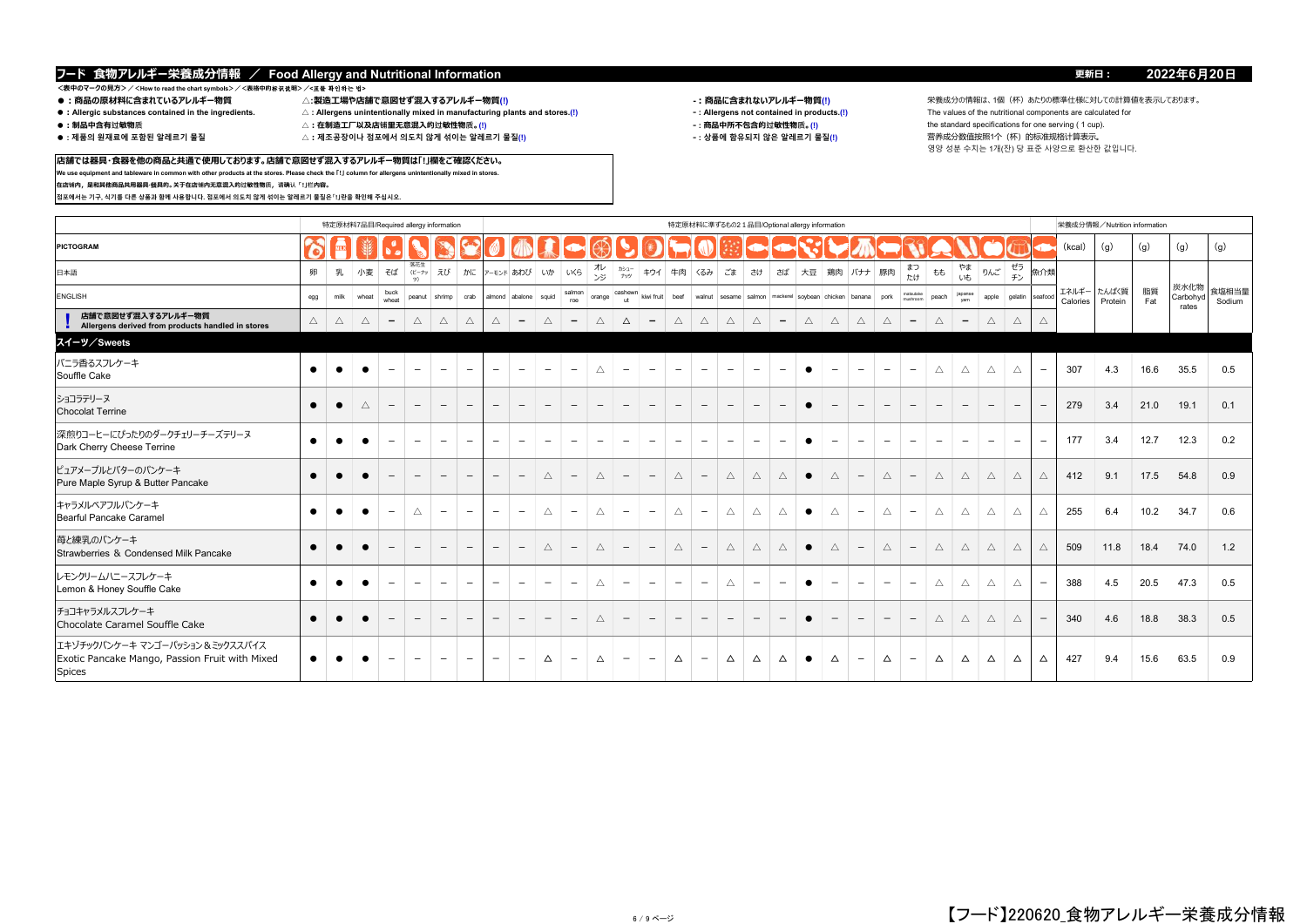**店舗では器具・食器を他の商品と共通で使用しております。店舗で意図せず混入するアレルギー物質は「!」欄をご確認ください。 We use equipment and tableware in common with other products at the stores. Please check the 「!」 column for allergens unintentionally mixed in stores.**

# \_<br><表中のマークの見方>/<How to read the chart symbols>/<表格中的标识説明>/**<표를 확인하는 법><br>● :商品の原材料に含まれているアレルギー物質**

**在店铺内,是和其他商品共用器具·餐具的。关于在店铺内无意混入的过敏性物质,请确认「!」栏内容。**

**점포에서는 기구, 식기를 다른 상품과 함께 사용합니다. 점포에서 의도치 않게 섞이는 알레르기 물질은「!」란을 확인해 주십시오.**

- 
- 
- 
- 
- ●:Allergic substances contained in the ingredients. △:Allergens unintentionally mixed in manufacturing plants and stores.(!) <br>●:制品中含有过敏物质 △:在制造工厂以及店铺里无意混入的过敏性物质。(!)
- 
- 
- $\triangle$  : 제조공장이나 점포에서 의도치 않게 섞이는 알레르기 물질(!)

- 
- 

**●:商品の原材料に含まれているアレルギー物質 △:製造工場や店舗で意図せず混入するアレルギー物質(!) -:商品に含まれないアレルギー物質(!)** 栄養成分の情報は、1個(杯)あたりの標準仕様に対しての計算値を表示しております。 **●:制品中含有过敏物质 △:在制造工厂以及店铺里无意混入的过敏性物质。(!) ‐ : 商品中所不包含的过敏性物质。(!)** the standard specifications for one serving ( 1 cup). 영양 성분 수치는 1개(잔) 당 표준 사양으로 환산한 값입니다.

|                                                                                                     |             |           | 特定原材料7品目/Required allergy information |                          |                          |                          |                          |                          |                           |                          |                          |                          |                          |                          |                          |                          |                          |                          |                          | 特定原材料に準ずるもの2 1品目/Optional allergy information                        |                          |                                 |                          |                          |                          |                          |                          |                          |                          |                   | 栄養成分情報/Nutrition information |           |                           |                 |
|-----------------------------------------------------------------------------------------------------|-------------|-----------|---------------------------------------|--------------------------|--------------------------|--------------------------|--------------------------|--------------------------|---------------------------|--------------------------|--------------------------|--------------------------|--------------------------|--------------------------|--------------------------|--------------------------|--------------------------|--------------------------|--------------------------|----------------------------------------------------------------------|--------------------------|---------------------------------|--------------------------|--------------------------|--------------------------|--------------------------|--------------------------|--------------------------|--------------------------|-------------------|------------------------------|-----------|---------------------------|-----------------|
| PICTOGRAM                                                                                           |             |           |                                       |                          |                          |                          |                          |                          |                           |                          |                          |                          |                          |                          |                          |                          |                          |                          |                          |                                                                      |                          |                                 |                          |                          |                          |                          |                          |                          |                          | (kcal)            | (q)                          | (g)       | (g)                       | (g)             |
| 日本語                                                                                                 | 卵           | 乳         | 小麦                                    | そば                       | 落花生<br>(ビーナッ<br>ツ)       | えび                       |                          |                          | かに アーモンド あわび いか いくら       |                          |                          | オレ<br>ンジ                 | カシュー<br>ナッツ              | キウイ                      | 牛肉 くるみ                   |                          | ごま                       | さけ                       | さば                       | 大豆   鶏肉   バナナ   豚肉                                                   |                          |                                 |                          | まつ<br>たけ                 | もも                       | やま<br>いも                 | りんご                      | ゼラ<br>チン                 | 魚介類                      |                   |                              |           |                           |                 |
| ENGLISH                                                                                             | egg         | milk      | wheat                                 | buck<br>wheat            | peanut   shrimp          |                          |                          |                          | crab almond abalone squid |                          | salmon<br>roe            | orange                   | cashewn<br>ut.           |                          |                          |                          |                          |                          |                          | kiwi fruit beef walnut sesame salmon mackerel soybean chicken banana |                          |                                 | pork                     | matsutake<br>mishroom    | peach                    | japanse<br>vam           | apple                    | gelatin                  | seafood                  | エネルギー<br>Calories | たんぱく質<br>Protein             | 脂質<br>Fat | 炭水化物<br>Carbohyd<br>rates | 食塩相当量<br>Sodium |
| 店舗で意図せず混入するアレルギー物質<br>Allergens derived from products handled in stores                             | $\triangle$ | Δ         | $\triangle$                           | $\overline{\phantom{a}}$ | $\triangle$              | $\wedge$                 | $\wedge$                 | $\triangle$              | $\overline{\phantom{a}}$  | $\triangle$              | $\overline{\phantom{a}}$ | $\triangle$              | Δ                        | $\overline{\phantom{0}}$ | $\triangle$              | $\triangle$              | $\triangle$              | Δ                        | $\overline{\phantom{0}}$ | $\triangle$                                                          | $\triangle$              | $\triangle$                     | $\triangle$              | $\qquad \qquad -$        | $\triangle$              | $\overline{\phantom{a}}$ | $\triangle$              | $\triangle$              | $\wedge$                 |                   |                              |           |                           |                 |
| スイーツ/Sweets                                                                                         |             |           |                                       |                          |                          |                          |                          |                          |                           |                          |                          |                          |                          |                          |                          |                          |                          |                          |                          |                                                                      |                          |                                 |                          |                          |                          |                          |                          |                          |                          |                   |                              |           |                           |                 |
| バニラ香るスフレケーキ<br>Souffle Cake                                                                         | $\bullet$   | $\bullet$ | $\bullet$                             | $\overline{\phantom{m}}$ | $\overline{\phantom{0}}$ | $\overline{\phantom{m}}$ | $\overline{\phantom{0}}$ | $\overline{\phantom{m}}$ | $\overline{\phantom{0}}$  | $\overline{\phantom{a}}$ | $\qquad \qquad -$        | $\triangle$              | $\overline{\phantom{0}}$ | $\overline{\phantom{a}}$ | $\overline{\phantom{m}}$ | $\equiv$                 | $\overline{\phantom{a}}$ | $\qquad \qquad -$        | $\overline{\phantom{m}}$ | $\bullet$                                                            | $\overline{\phantom{0}}$ | $\overline{\phantom{a}}$        | $\qquad \qquad -$        | $\overline{\phantom{a}}$ | $\triangle$              | $\triangle$              | $\triangle$              | $\triangle$              | $\overline{\phantom{m}}$ | 307               | 4.3                          | 16.6      | 35.5                      | 0.5             |
| ショコラテリーヌ<br><b>Chocolat Terrine</b>                                                                 | $\bullet$   | $\bullet$ | $\triangle$                           | $\overline{\phantom{m}}$ | $\qquad \qquad -$        | $\overline{\phantom{0}}$ | $\overline{\phantom{m}}$ | $-$                      | $\overline{\phantom{m}}$  | $\qquad \qquad -$        | $\overline{\phantom{m}}$ | $\overline{\phantom{a}}$ | $\overline{\phantom{0}}$ | $\overline{\phantom{0}}$ | $\overline{\phantom{a}}$ | $\overline{\phantom{a}}$ | $\overline{\phantom{a}}$ | $\overline{\phantom{m}}$ | $\qquad \qquad -$        | $\bullet$                                                            | $\qquad \qquad -$        | $\hspace{0.1mm}-\hspace{0.1mm}$ | $\overline{\phantom{a}}$ | $\overline{\phantom{a}}$ | $\qquad \qquad -$        | $\overline{\phantom{a}}$ | $\qquad \qquad -$        | $\overline{\phantom{0}}$ |                          | 279               | 3.4                          | 21.0      | 19.1                      | 0.1             |
| 深煎りコーヒーにぴったりのダークチェリーチーズテリーヌ<br>Dark Cherry Cheese Terrine                                           | $\bullet$   |           | $\bullet$                             | $\overline{\phantom{m}}$ |                          | $\overline{\phantom{m}}$ | $\overline{\phantom{a}}$ | $\overline{\phantom{0}}$ | $\qquad \qquad -$         | $\overline{\phantom{a}}$ | $\overline{\phantom{m}}$ | $\qquad \qquad -$        | $\overline{\phantom{0}}$ | $\overline{\phantom{a}}$ | $\overline{\phantom{a}}$ |                          | $\overline{\phantom{a}}$ | $\qquad \qquad -$        | $\qquad \qquad$          | $\bullet$                                                            | $\qquad \qquad -$        | $\overline{\phantom{0}}$        | $\overline{\phantom{m}}$ | $\overline{\phantom{a}}$ | $\overline{\phantom{0}}$ | $\overline{\phantom{a}}$ | $\overline{\phantom{a}}$ | $\overline{\phantom{a}}$ | $\overline{\phantom{a}}$ | 177               | 3.4                          | 12.7      | 12.3                      | 0.2             |
| ピュアメープルとバターのパンケーキ<br>Pure Maple Syrup & Butter Pancake                                              | $\bullet$   |           |                                       |                          |                          |                          |                          | $\overline{\phantom{a}}$ | $\overline{\phantom{a}}$  | $\triangle$              | $\overline{\phantom{m}}$ | $\triangle$              |                          | $\qquad \qquad -$        | $\triangle$              |                          | $\triangle$              | $\triangle$              | $\triangle$              | $\bullet$                                                            | $\triangle$              | $\overline{\phantom{a}}$        | $\triangle$              | $\qquad \qquad -$        | $\triangle$              | $\triangle$              | Δ                        | $\triangle$              | $\triangle$              | 412               | 9.1                          | 17.5      | 54.8                      | 0.9             |
| キャラメルベアフルパンケーキ<br><b>Bearful Pancake Caramel</b>                                                    | $\bullet$   |           |                                       | $\overline{\phantom{m}}$ | Δ                        | $\overline{\phantom{m}}$ | $\qquad \qquad -$        | $\qquad \qquad -$        | $\overline{\phantom{a}}$  | $\triangle$              | $\overline{\phantom{a}}$ | $\triangle$              | $\overline{\phantom{0}}$ | $\overline{\phantom{m}}$ | $\triangle$              | $\overline{\phantom{0}}$ | $\triangle$              | $\triangle$              | Δ                        | $\bullet$                                                            | $\triangle$              | $\overline{\phantom{a}}$        | Δ                        | $\overline{\phantom{a}}$ | $\triangle$              | $\triangle$              | Δ                        | $\triangle$              | $\triangle$              | 255               | 6.4                          | 10.2      | 34.7                      | 0.6             |
| 苺と練乳のパンケーキ<br>Strawberries & Condensed Milk Pancake                                                 | $\bullet$   |           |                                       | $\overline{\phantom{m}}$ |                          |                          |                          | $\overline{\phantom{a}}$ | $\overline{\phantom{a}}$  | $\triangle$              | $\overline{\phantom{m}}$ | $\triangle$              |                          | $\overline{\phantom{a}}$ | $\triangle$              | $\overline{\phantom{m}}$ | $\triangle$              | $\triangle$              | $\triangle$              | $\bullet$                                                            | $\triangle$              | $\overline{\phantom{a}}$        | $\triangle$              | $\overline{\phantom{a}}$ | $\triangle$              | $\triangle$              | Δ                        | $\wedge$                 | $\triangle$              | 509               | 11.8                         | 18.4      | 74.0                      | 1.2             |
| レモンクリームハニースフレケーキ<br>Lemon & Honey Souffle Cake                                                      | $\bullet$   |           |                                       | $\overline{\phantom{m}}$ |                          | $\overline{\phantom{m}}$ |                          | $\overline{\phantom{0}}$ | $\overline{\phantom{m}}$  | $-$                      | $\overline{\phantom{a}}$ | $\triangle$              | $\overline{\phantom{m}}$ | $\overline{\phantom{a}}$ | $\overline{\phantom{0}}$ |                          | $\triangle$              | $\overline{\phantom{0}}$ |                          | $\bullet$                                                            | $\overline{\phantom{0}}$ |                                 | $\overline{\phantom{m}}$ | $\overline{\phantom{a}}$ | $\triangle$              | $\triangle$              | Δ                        | $\triangle$              | $\overline{\phantom{m}}$ | 388               | 4.5                          | 20.5      | 47.3                      | 0.5             |
| チョコキャラメルスフレケーキ<br>Chocolate Caramel Souffle Cake                                                    | $\bullet$   |           |                                       | $\overline{\phantom{m}}$ |                          |                          |                          | $\overline{\phantom{a}}$ | $\overline{\phantom{a}}$  | $\overline{\phantom{a}}$ | $\overline{\phantom{m}}$ | $\triangle$              |                          | $\overline{\phantom{m}}$ | $-$                      |                          |                          | $\overline{\phantom{m}}$ | $\overline{\phantom{m}}$ | $\bullet$                                                            | $\qquad \qquad -$        | $\overline{\phantom{m}}$        | $\overline{\phantom{m}}$ | $\overline{\phantom{a}}$ | $\triangle$              | $\triangle$              | $\triangle$              | $\triangle$              | $\overline{\phantom{m}}$ | 340               | 4.6                          | 18.8      | 38.3                      | 0.5             |
| エキゾチックパンケーキ マンゴーパッション & ミックススパイス<br>Exotic Pancake Mango, Passion Fruit with Mixed<br><b>Spices</b> | $\bullet$   |           |                                       |                          |                          |                          |                          | $\overline{\phantom{0}}$ | $\overline{\phantom{a}}$  | Δ                        | $\overline{\phantom{m}}$ | Δ                        | $\overline{\phantom{m}}$ | $\qquad \qquad$          | Δ                        | $\overline{\phantom{0}}$ | $\triangle$              | Δ                        | Δ                        | $\bullet$                                                            | Δ                        | $\overline{\phantom{0}}$        | Δ                        | $\overline{\phantom{a}}$ | Δ                        | $\Delta$                 | Δ                        | $\Delta$                 | Δ                        | 427               | 9.4                          | 15.6      | 63.5                      | 0.9             |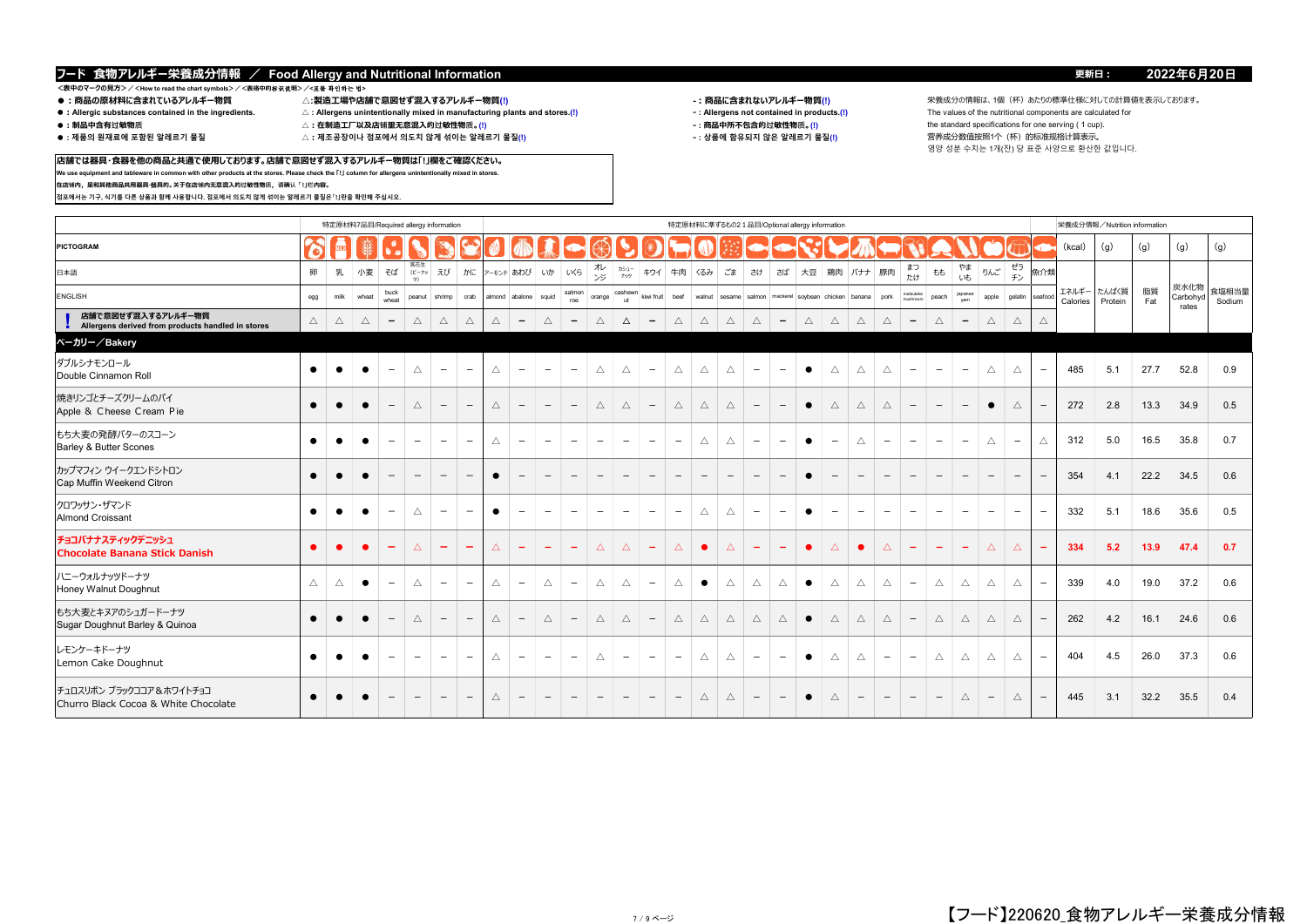**店舗では器具・食器を他の商品と共通で使用しております。店舗で意図せず混入するアレルギー物質は「!」欄をご確認ください。 We use equipment and tableware in common with other products at the stores. Please check the 「!」 column for allergens unintentionally mixed in stores.**

# <表中のマークの見方>/<How to read the chart symbols>/<表格中的标识説明>/**<표를 확인하는 법><br>● :商品の原材料に含まれているアレルギー物質**

**在店铺内,是和其他商品共用器具·餐具的。关于在店铺内无意混入的过敏性物质,请确认「!」栏内容。**

**점포에서는 기구, 식기를 다른 상품과 함께 사용합니다. 점포에서 의도치 않게 섞이는 알레르기 물질은「!」란을 확인해 주십시오.**

- 
- 
- 
- 
- ●:Allergic substances contained in the ingredients. △:Allergens unintentionally mixed in manufacturing plants and stores.(!) <br>●:制品中含有过敏物质 △:在制造工厂以及店铺里无意混入的过敏性物质。(!)
- 
- 
- 

- 
- -

**●:商品の原材料に含まれているアレルギー物質 △:製造工場や店舗で意図せず混入するアレルギー物質(!) -:商品に含まれないアレルギー物質(!)** 栄養成分の情報は、1個(杯)あたりの標準仕様に対しての計算値を表示しております。 **●:制品中含有过敏物质 △:在制造工厂以及店铺里无意混入的过敏性物质。(!) ‐ : 商品中所不包含的过敏性物质。(!)** the standard specifications for one serving ( 1 cup). **● : 제품의 원재료에 포함된 알레르기 물질 △:제조공장이나 점포에서 의도치 않게 섞이는 알레르기 물질(!) ‐ : 상품에 함유되지 않은 알레르기 물질(!)** 营养成分数值按照1个(杯)的标准规格计算表示。 영양 성분 수치는 1개(잔) 당 표준 사양으로 환산한 값입니다.

|                                                                         |             |             |             | 特定原材料7品目/Required allergy information |                                 |                          |                          |             |                          |                          |                          |                          |                          |                          |                          |                          |                          |                          |                          | 特定原材料に準ずるもの2 1品目/Optional allergy information                    |                          |                                 |                          |                          |                          |                          |                          |                          |                          |                   | 栄養成分情報/Nutrition information |           |                           |                 |
|-------------------------------------------------------------------------|-------------|-------------|-------------|---------------------------------------|---------------------------------|--------------------------|--------------------------|-------------|--------------------------|--------------------------|--------------------------|--------------------------|--------------------------|--------------------------|--------------------------|--------------------------|--------------------------|--------------------------|--------------------------|------------------------------------------------------------------|--------------------------|---------------------------------|--------------------------|--------------------------|--------------------------|--------------------------|--------------------------|--------------------------|--------------------------|-------------------|------------------------------|-----------|---------------------------|-----------------|
| PICTOGRAM                                                               |             |             |             |                                       |                                 |                          |                          |             |                          |                          |                          |                          |                          |                          |                          |                          |                          |                          |                          |                                                                  |                          |                                 |                          |                          |                          |                          |                          |                          |                          | (kcal)            | (g)                          | (g)       | (g)                       | (g)             |
| 日本語                                                                     | 卵           | 乳           | 小麦          | そば                                    | 落花生<br>ビーナッ<br>ツ)               | えび                       | かに                       |             | アーモンド あわび                | いか                       | いくら                      | オレ<br>ンジ                 | カシュー<br>ナッツ              | キウイ                      |                          | 牛肉 くるみ                   | ごま                       | さけ                       | さば                       | 大豆   鶏肉                                                          |                          | バナナ 豚肉                          |                          | まつ<br>たけ                 | もも                       | やま<br>いも                 | りんご                      | ゼラ<br>チン                 | 魚介類                      |                   |                              |           |                           |                 |
| ENGLISH                                                                 | egg         | milk        | wheat       | buck<br>wheat                         | peanut                          | shrimp                   | crab                     |             | almond abalone           | squid                    | salmon<br>roe            | orange                   | cashewn<br><b>ut</b>     | kiwi fruit               | beef                     |                          |                          |                          |                          | walnut   sesame   salmon   mackerel   soybean   chicken   banana |                          |                                 | pork                     | matsutake<br>mushroon    | peach                    | japanse                  | apple                    | gelatin                  | seafood                  | エネルギー<br>Calories | たんぱく質<br>Protein             | 脂質<br>Fat | 炭水化物<br>Carbohyd<br>rates | 食塩相当量<br>Sodium |
| 店舗で意図せず混入するアレルギー物質<br>Allergens derived from products handled in stores | $\triangle$ | $\triangle$ | $\triangle$ | $\overline{\phantom{a}}$              | $\triangle$                     | $\triangle$              | $\triangle$              | $\triangle$ | $\overline{\phantom{a}}$ | $\triangle$              | $\overline{\phantom{a}}$ | $\triangle$              | $\Delta$                 | $-$                      | $\triangle$              | $\triangle$              | $\triangle$              | $\triangle$              | $\overline{\phantom{0}}$ | $\triangle$                                                      | $\triangle$              | $\triangle$                     | $\triangle$              | $\overline{\phantom{a}}$ | $\triangle$              | $\overline{\phantom{a}}$ | $\triangle$              | $\triangle$              | Δ                        |                   |                              |           |                           |                 |
| ベーカリー/Bakery                                                            |             |             |             |                                       |                                 |                          |                          |             |                          |                          |                          |                          |                          |                          |                          |                          |                          |                          |                          |                                                                  |                          |                                 |                          |                          |                          |                          |                          |                          |                          |                   |                              |           |                           |                 |
| ダブルシナモンロール<br>Double Cinnamon Roll                                      | $\bullet$   |             |             | $\overline{\phantom{m}}$              | Δ                               | $\overline{\phantom{0}}$ | $\overline{\phantom{0}}$ | $\triangle$ | $\overline{\phantom{m}}$ | $\overline{\phantom{a}}$ | $\overline{\phantom{m}}$ | $\triangle$              | $\triangle$              | $\overline{\phantom{a}}$ | $\triangle$              | $\triangle$              | $\triangle$              | $\overline{\phantom{m}}$ | $\qquad \qquad -$        | $\bullet$                                                        | $\triangle$              | $\triangle$                     | $\triangle$              | $\overline{\phantom{a}}$ | $\qquad \qquad -$        | $\overline{\phantom{m}}$ | Δ                        | $\triangle$              | $\qquad \qquad -$        | 485               | 5.1                          | 27.7      | 52.8                      | 0.9             |
| 焼きリンゴとチーズクリームのパイ<br>Apple & Cheese Cream Pie                            | $\bullet$   | $\bullet$   | $\bullet$   | $\overline{\phantom{a}}$              | Δ                               | $\qquad \qquad -$        | $\overline{\phantom{m}}$ | $\triangle$ | $\qquad \qquad -$        | $\qquad \qquad -$        | $\overline{\phantom{m}}$ | $\triangle$              | $\triangle$              | $-$                      | $\triangle$              | $\triangle$              | $\triangle$              | $\qquad \qquad -$        | $\qquad \qquad -$        | $\bullet$                                                        | $\triangle$              | $\triangle$                     | $\triangle$              | $\overline{\phantom{m}}$ | $\qquad \qquad -$        | $\overline{\phantom{a}}$ | $\bullet$                | $\triangle$              |                          | 272               | 2.8                          | 13.3      | 34.9                      | 0.5             |
| もち大麦の発酵バターのスコーン<br><b>Barley &amp; Butter Scones</b>                    | $\bullet$   |             |             | $\overline{\phantom{m}}$              | $\overline{\phantom{0}}$        | $\overline{\phantom{m}}$ | $\overline{\phantom{m}}$ | Δ           | $\overline{\phantom{m}}$ | $\overline{\phantom{m}}$ | $\overline{\phantom{a}}$ | $\overline{\phantom{0}}$ | $\overline{\phantom{m}}$ | $\overline{\phantom{a}}$ | $\overline{\phantom{a}}$ | Δ                        | $\triangle$              | $\qquad \qquad -$        | $\qquad \qquad$          | $\bullet$                                                        | $\overline{\phantom{m}}$ | $\triangle$                     | $\qquad \qquad$          | $\overline{\phantom{a}}$ | $\overline{\phantom{0}}$ | $\overline{\phantom{a}}$ | Δ                        | $\qquad \qquad -$        | Δ                        | 312               | 5.0                          | 16.5      | 35.8                      | 0.7             |
| カップマフィン ウイークエンドシトロン<br>Cap Muffin Weekend Citron                        | $\bullet$   |             | $\bullet$   | $\overline{\phantom{a}}$              | $\overline{\phantom{m}}$        | $\overline{\phantom{m}}$ | $\overline{\phantom{0}}$ | $\bullet$   | $\qquad \qquad -$        | $\qquad \qquad -$        | $\qquad \qquad -$        | $\overline{\phantom{a}}$ | $\overline{\phantom{0}}$ | $\overline{\phantom{0}}$ | $\qquad \qquad -$        | $\overline{\phantom{m}}$ | $\overline{\phantom{a}}$ | $\qquad \qquad -$        | $\overline{\phantom{m}}$ | $\bullet$                                                        | $\qquad \qquad -$        | $\hspace{0.1mm}-\hspace{0.1mm}$ | $\overline{\phantom{m}}$ | $\qquad \qquad -$        | $\qquad \qquad -$        | $\qquad \qquad -$        | $\qquad \qquad -$        | $\qquad \qquad -$        |                          | 354               | 4.1                          | 22.2      | 34.5                      | 0.6             |
| クロワッサン・ザマンド<br><b>Almond Croissant</b>                                  | $\bullet$   | $\bullet$   | $\bullet$   | $\overline{\phantom{a}}$              | Δ                               | $\overline{\phantom{a}}$ | $\overline{\phantom{a}}$ | $\bullet$   | $\overline{\phantom{a}}$ | $\overline{\phantom{a}}$ | $\overline{\phantom{m}}$ | $\overline{\phantom{a}}$ | $\overline{\phantom{a}}$ | $\overline{\phantom{0}}$ | $\overline{\phantom{m}}$ | $\triangle$              | $\triangle$              | $\overline{\phantom{m}}$ | $\overline{\phantom{m}}$ | $\bullet$                                                        | $\overline{\phantom{0}}$ | $\overline{\phantom{a}}$        | $\overline{\phantom{a}}$ | $\overline{\phantom{a}}$ | $\overline{\phantom{0}}$ | $\overline{\phantom{a}}$ | $\overline{\phantom{a}}$ | $\overline{\phantom{a}}$ | $\overline{\phantom{m}}$ | 332               | 5.1                          | 18.6      | 35.6                      | 0.5             |
| チョコバナナスティックデニッシュ<br><b>Chocolate Banana Stick Danish</b>                |             |             |             | $\overline{\phantom{m}}$              | Δ                               | -                        | $\overline{\phantom{m}}$ | $\Delta$    | $\overline{\phantom{0}}$ | $\overline{\phantom{a}}$ | $\overline{\phantom{a}}$ | $\triangle$              | $\triangle$              | $\overline{\phantom{a}}$ | $\Delta$                 |                          | $\Delta$                 | $\overline{\phantom{m}}$ |                          | $\bullet$                                                        | $\Delta$                 | $\bullet$                       | $\triangle$              | $\overline{\phantom{a}}$ | $\overline{\phantom{a}}$ | $\overline{\phantom{a}}$ | $\Delta$                 | $\Delta$                 |                          | 334               | 5.2                          | 13.9      | 47.4                      | 0.7             |
| ハニーウォルナッツドーナツ<br>Honey Walnut Doughnut                                  | Δ           | Δ           | $\bullet$   | $\overline{\phantom{a}}$              | Δ                               | $\overline{\phantom{a}}$ | $\qquad \qquad -$        | Δ           | $\overline{\phantom{m}}$ | $\Delta$                 | $\overline{\phantom{m}}$ | Δ                        | Δ                        | $\overline{\phantom{a}}$ | $\triangle$              | $\bullet$                | $\triangle$              | $\triangle$              | Δ                        | $\bullet$                                                        | Δ                        | Δ                               | Δ                        | $\overline{\phantom{a}}$ | Δ                        | Δ                        | Δ                        | $\triangle$              | $\overline{\phantom{m}}$ | 339               | 4.0                          | 19.0      | 37.2                      | 0.6             |
| もち大麦とキヌアのシュガードーナツ<br>Sugar Doughnut Barley & Quinoa                     | $\bullet$   |             |             | $\overline{\phantom{m}}$              | Δ                               | $\overline{\phantom{0}}$ | $\qquad \qquad -$        | $\triangle$ | $\qquad \qquad -$        | $\triangle$              | $-$                      | $\triangle$              | $\triangle$              | $\overline{\phantom{a}}$ | $\triangle$              | Δ                        | $\triangle$              | $\triangle$              | $\triangle$              | $\bullet$                                                        | Δ                        | $\triangle$                     | $\triangle$              | $\overline{\phantom{m}}$ | $\triangle$              | $\triangle$              | Δ                        | $\triangle$              | $\qquad \qquad -$        | 262               | 4.2                          | 16.1      | 24.6                      | 0.6             |
| レモンケーキドーナツ<br>Lemon Cake Doughnut                                       | $\bullet$   | $\bullet$   | $\bullet$   | $\overline{\phantom{m}}$              | $\overline{\phantom{0}}$        | $\qquad \qquad -$        | $\qquad \qquad -$        | $\triangle$ | $\overline{\phantom{m}}$ | $\overline{\phantom{m}}$ | $\overline{\phantom{m}}$ | $\triangle$              | $\overline{\phantom{0}}$ | $\overline{\phantom{a}}$ | $\overline{\phantom{m}}$ | $\triangle$              | $\triangle$              | $\overline{\phantom{m}}$ | $\overline{\phantom{m}}$ | $\bullet$                                                        | $\triangle$              | $\triangle$                     | $\overline{\phantom{m}}$ | $\overline{\phantom{m}}$ | $\triangle$              | $\triangle$              | $\triangle$              | $\triangle$              | $\overline{\phantom{m}}$ | 404               | 4.5                          | 26.0      | 37.3                      | 0.6             |
| チュロスリボン ブラックココア & ホワイトチョコ<br>Churro Black Cocoa & White Chocolate       | $\bullet$   | $\bullet$   | $\bullet$   | $\qquad \qquad -$                     | $\hspace{0.1mm}-\hspace{0.1mm}$ | $\overline{\phantom{m}}$ | $\overline{\phantom{a}}$ | $\triangle$ | $\overline{\phantom{m}}$ | $\overline{\phantom{a}}$ | $-$                      | $\overline{\phantom{m}}$ | $-$                      | $\overline{\phantom{0}}$ | $\overline{\phantom{a}}$ | $\triangle$              | $\triangle$              | $\overline{\phantom{a}}$ | $\overline{\phantom{a}}$ | $\bullet$                                                        | $\triangle$              | $\overline{\phantom{a}}$        | $\qquad \qquad -$        | $-$                      | $ \,$                    | $\triangle$              | $\overline{\phantom{m}}$ | $\triangle$              | $\overline{\phantom{m}}$ | 445               | 3.1                          | 32.2      | 35.5                      | 0.4             |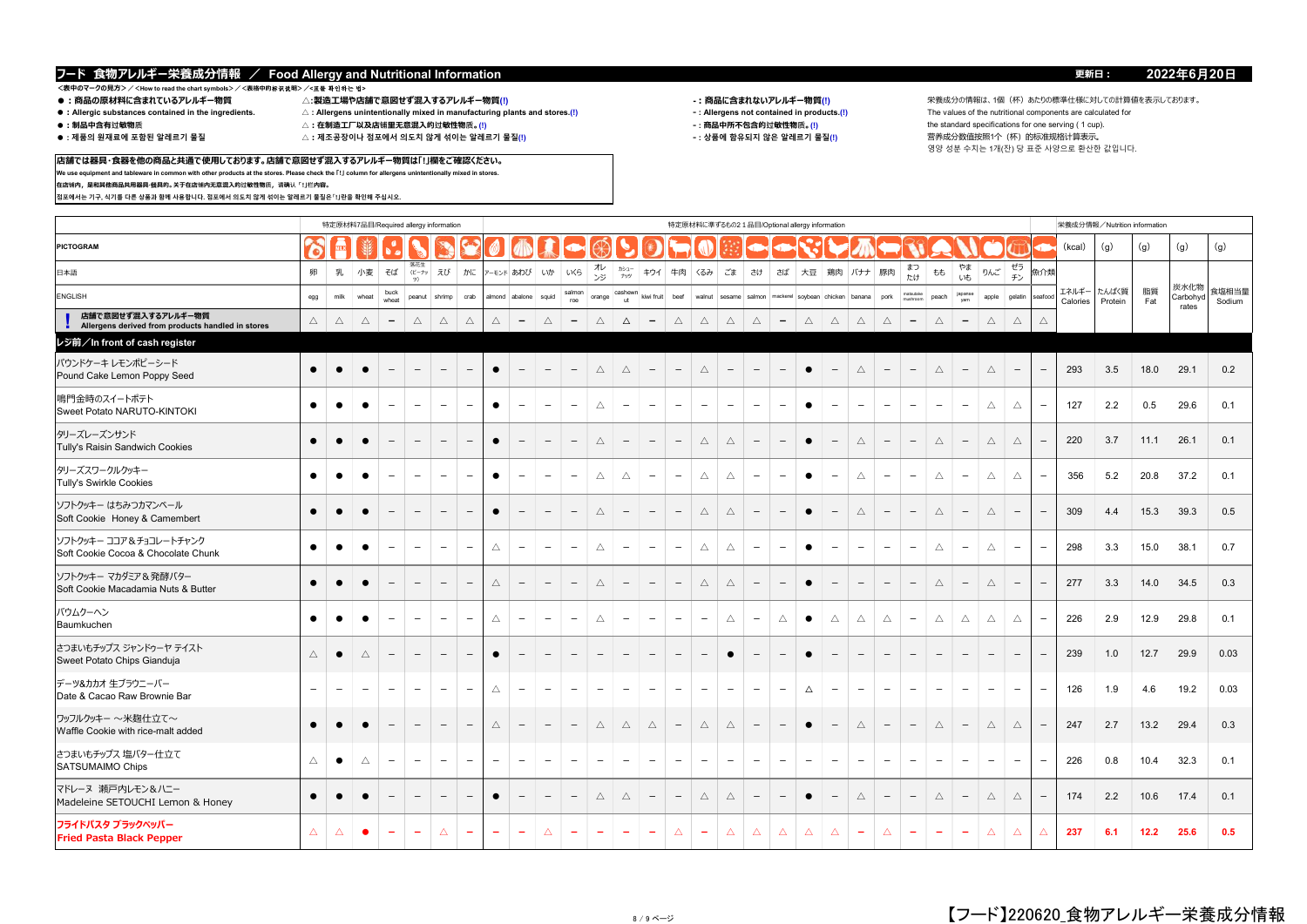# **<表中のマークの見方>/<How to read the chart symbols>/<表格中的**标识说**明>/<**표를 확인하는 법**>**

- 
- 
- ●:Allergic substances contained in the ingredients. △:Allergens unintentionally mixed in manufacturing plants and stores.(!) <br>●:制品中含有过敏物质 △:在制造工厂以及店铺里无意混入的过敏性物质。(!)
- 
- 
- 
- $\triangle$  : 제조공장이나 점포에서 의도치 않게 섞이는 알레르기 물질(!)
- 
- 
- -

**●:商品の原材料に含まれているアレルギー物質 △:製造工場や店舗で意図せず混入するアレルギー物質(!) -:商品に含まれないアレルギー物質(!)** 栄養成分の情報は、1個(杯)あたりの標準仕様に対しての計算値を表示しております。 **●:制品中含有过敏物质 △:在制造工厂以及店铺里无意混入的过敏性物质。(!) ‐ : 商品中所不包含的过敏性物质。(!)** the standard specifications for one serving ( 1 cup). 영양 성분 수치는 1개(잔) 당 표준 사양으로 환산한 값입니다.

### **店舗では器具・食器を他の商品と共通で使用しております。店舗で意図せず混入するアレルギー物質は「!」欄をご確認ください。 We use equipment and tableware in common with other products at the stores. Please check the 「!」 column for allergens unintentionally mixed in stores.**

**在店铺内,是和其他商品共用器具·餐具的。关于在店铺内无意混入的过敏性物质,请确认「!」栏内容。**

**점포에서는 기구, 식기를 다른 상품과 함께 사용합니다. 점포에서 의도치 않게 섞이는 알레르기 물질은「!」란을 확인해 주십시오.**

|                                                                         |                          |                   |                          | 特定原材料7品目/Required allergy information |                          |                          |                                 |                          |                          |                          |                                 |                          |                          |                          |                          | 特定原材料に準ずるもの2 1品目/Optional allergy information |                          |                          |                              |                          |                          |                          |                          |                          |                          |                          |                          |                          |                          |                   | 栄養成分情報/Nutrition information |           |                  |                 |
|-------------------------------------------------------------------------|--------------------------|-------------------|--------------------------|---------------------------------------|--------------------------|--------------------------|---------------------------------|--------------------------|--------------------------|--------------------------|---------------------------------|--------------------------|--------------------------|--------------------------|--------------------------|-----------------------------------------------|--------------------------|--------------------------|------------------------------|--------------------------|--------------------------|--------------------------|--------------------------|--------------------------|--------------------------|--------------------------|--------------------------|--------------------------|--------------------------|-------------------|------------------------------|-----------|------------------|-----------------|
| <b>PICTOGRAM</b>                                                        | ᢛ                        |                   |                          |                                       |                          |                          |                                 |                          |                          |                          |                                 |                          |                          |                          |                          |                                               |                          |                          |                              |                          |                          |                          |                          |                          |                          |                          |                          |                          |                          | (kcal)            | (q)                          | (g)       | (g)              | (g)             |
| 日本語                                                                     | 卵                        | 乳                 | 小麦                       | そば                                    | 落花生<br>(ビーナッ<br>ツ)       | えび                       | かに                              |                          | アーモンド あわび                | いか                       | いくら                             | オレ<br>ンジ                 | カシュー<br>ナッツ              | キウイ                      | 牛肉                       | くるみ                                           | ごま                       | さけ                       | さば                           | 大豆                       | 鶏肉                       | バナナ                      | 豚肉                       | まつ<br>たけ                 | もも                       | やま<br>いも                 | りんご                      | ゼラ<br>チン                 | 魚介類                      |                   |                              |           |                  |                 |
| <b>ENGLISH</b>                                                          | egg                      | milk              | wheat                    | buck<br>wheat                         | peanut                   | shrimp                   | crab                            |                          | almond abalone           | squid                    | salmon<br>roe                   | orange                   | cashewr<br>ut            | kiwi fruit               | beef                     | walnut                                        | sesame                   | salmon                   |                              | mackerel soybean chicken |                          | banana                   | pork                     | natsutake<br>nushroom    | peach                    | japanse<br>yam           | apple                    | gelatin                  | seafor                   | エネルギー<br>Calories | たんぱく質<br>Protein             | 脂質<br>Fat | 炭水化物<br>Carbohyo | 食塩相当量<br>Sodium |
| 店舗で意図せず混入するアレルギー物質<br>Allergens derived from products handled in stores | $\triangle$              | $\triangle$       | $\triangle$              | $\overline{\phantom{a}}$              | $\triangle$              | $\triangle$              | $\triangle$                     | Δ                        | $\overline{\phantom{a}}$ | $\triangle$              | $\overline{\phantom{a}}$        | $\triangle$              | $\Delta$                 | $\overline{\phantom{a}}$ | $\triangle$              | $\triangle$                                   | $\triangle$              | $\triangle$              | $\qquad \qquad \blacksquare$ | $\triangle$              | $\triangle$              | $\triangle$              | $\triangle$              | $\qquad \qquad -$        | $\triangle$              | $\qquad \qquad -$        | $\triangle$              | $\triangle$              | $\triangle$              |                   |                              |           | rates            |                 |
| レジ前/In front of cash register                                           |                          |                   |                          |                                       |                          |                          |                                 |                          |                          |                          |                                 |                          |                          |                          |                          |                                               |                          |                          |                              |                          |                          |                          |                          |                          |                          |                          |                          |                          |                          |                   |                              |           |                  |                 |
| パウンドケーキ レモンポピーシード<br>Pound Cake Lemon Poppy Seed                        | $\bullet$                | $\bullet$         | $\bullet$                | $\overline{\phantom{m}}$              | $\overline{\phantom{a}}$ | $\overline{\phantom{m}}$ | $\overline{\phantom{a}}$        | $\bullet$                | $\overline{\phantom{m}}$ | $\overline{\phantom{m}}$ | $\overline{\phantom{a}}$        | $\triangle$              | $\triangle$              | $\overline{\phantom{m}}$ | $\overline{\phantom{a}}$ | $\bigtriangleup$                              | $\overline{\phantom{a}}$ | $\overline{\phantom{m}}$ | $\overline{\phantom{m}}$     | $\bullet$                | $\qquad \qquad -$        | $\triangle$              | $\overline{\phantom{m}}$ | $\overline{\phantom{m}}$ | $\triangle$              | $\qquad \qquad -$        | $\bigtriangleup$         | $\overline{\phantom{a}}$ | $\overline{\phantom{m}}$ | 293               | 3.5                          | 18.0      | 29.1             | 0.2             |
| 鳴門金時のスイートポテト<br>Sweet Potato NARUTO-KINTOKI                             | $\bullet$                | $\bullet$         | $\bullet$                | $\overline{\phantom{m}}$              | $\overline{\phantom{m}}$ | $\overline{\phantom{m}}$ | $\hspace{0.1mm}-\hspace{0.1mm}$ | $\bullet$                | $\overline{\phantom{a}}$ | $\overline{\phantom{m}}$ | $\overline{\phantom{m}}$        | $\triangle$              | $\overline{\phantom{m}}$ | $\overline{\phantom{a}}$ | $\overline{\phantom{m}}$ | $\overline{\phantom{a}}$                      | $\overline{\phantom{m}}$ | $\overline{\phantom{m}}$ | $\overline{\phantom{m}}$     | $\bullet$                | $\overline{\phantom{a}}$ | $\overline{\phantom{a}}$ | $\overline{\phantom{m}}$ | $\overline{\phantom{m}}$ | $\overline{\phantom{m}}$ | $\overline{\phantom{m}}$ | $\triangle$              | $\triangle$              | $\overline{\phantom{a}}$ | 127               | 2.2                          | 0.5       | 29.6             | 0.1             |
| タリーズレーズンサンド<br>Tully's Raisin Sandwich Cookies                          | $\bullet$                | $\bullet$         | $\bullet$                | $\overline{\phantom{0}}$              | $\overline{\phantom{0}}$ | $\overline{\phantom{m}}$ | $\overline{\phantom{a}}$        | $\bullet$                | $\overline{\phantom{a}}$ | $\overline{\phantom{m}}$ | $\overline{\phantom{a}}$        | $\triangle$              | $\qquad \qquad -$        | $\overline{\phantom{m}}$ | $\qquad \qquad -$        | $\triangle$                                   | $\triangle$              | $\overline{\phantom{m}}$ | $\overline{\phantom{m}}$     | $\bullet$                | $\overline{\phantom{a}}$ | $\triangle$              | $\overline{\phantom{0}}$ | $\overline{\phantom{m}}$ | $\triangle$              | $\qquad \qquad -$        | $\triangle$              | $\triangle$              | $\overline{\phantom{a}}$ | 220               | 3.7                          | 11.1      | 26.1             | 0.1             |
| タリーズスワークルクッキー<br><b>Tully's Swirkle Cookies</b>                         | $\bullet$                | $\bullet$         | $\bullet$                | $\overline{\phantom{a}}$              | $\overline{\phantom{m}}$ | $\overline{\phantom{a}}$ | $\overline{\phantom{a}}$        | $\bullet$                | $\overline{\phantom{a}}$ | $\overline{\phantom{a}}$ | $\overline{\phantom{a}}$        | $\triangle$              | $\triangle$              | $\overline{\phantom{a}}$ | $\overline{\phantom{m}}$ | $\triangle$                                   | $\triangle$              | $\overline{\phantom{m}}$ | $\overline{\phantom{m}}$     | $\bullet$                | $\overline{\phantom{a}}$ | $\triangle$              | $\overline{\phantom{m}}$ | $\overline{\phantom{a}}$ | $\triangle$              | $\overline{\phantom{m}}$ | $\triangle$              | $\triangle$              | $\overline{\phantom{m}}$ | 356               | 5.2                          | 20.8      | 37.2             | 0.1             |
| ソフトクッキー はちみつカマンベール<br>Soft Cookie Honey & Camembert                     | $\bullet$                | $\bullet$         | $\bullet$                | $\overline{\phantom{m}}$              | $\overline{\phantom{a}}$ | $\overline{\phantom{m}}$ | $\hspace{0.1mm}-\hspace{0.1mm}$ | $\bullet$                | $\overline{\phantom{m}}$ | $\overline{\phantom{m}}$ | $\hspace{0.1mm}-\hspace{0.1mm}$ | $\triangle$              | $\overline{\phantom{m}}$ | $-$                      | $\qquad \qquad -$        | $\triangle$                                   | $\triangle$              | $-$                      | $\overline{\phantom{m}}$     | $\bullet$                | $\qquad \qquad -$        | $\triangle$              | $\overline{\phantom{m}}$ | $\overline{\phantom{a}}$ | $\triangle$              | $\qquad \qquad -$        | $\triangle$              | $\overline{\phantom{m}}$ | $\overline{\phantom{m}}$ | 309               | 4.4                          | 15.3      | 39.3             | 0.5             |
| ソフトクッキー ココア&チョコレートチャンク<br>Soft Cookie Cocoa & Chocolate Chunk           | $\bullet$                | $\bullet$         | $\bullet$                | $\overline{\phantom{m}}$              | $\overline{\phantom{a}}$ | $\overline{\phantom{a}}$ | $\overline{\phantom{a}}$        | $\triangle$              | $\overline{\phantom{a}}$ | $\overline{\phantom{m}}$ | $\overline{\phantom{a}}$        | $\triangle$              | $\overline{\phantom{m}}$ | $\overline{\phantom{a}}$ | $\overline{\phantom{m}}$ | $\triangle$                                   | $\triangle$              | $\overline{\phantom{a}}$ | $\overline{\phantom{m}}$     | $\bullet$                | $\overline{\phantom{m}}$ | $\overline{\phantom{m}}$ | $\overline{\phantom{m}}$ | $\overline{\phantom{a}}$ | $\triangle$              | $\overline{\phantom{m}}$ | $\triangle$              | $\overline{\phantom{m}}$ | $\overline{\phantom{m}}$ | 298               | 3.3                          | 15.0      | 38.1             | 0.7             |
| ソフトクッキー マカダミア & 発酵バター<br>Soft Cookie Macadamia Nuts & Butter            | $\bullet$                | $\bullet$         | $\bullet$                | $\overline{\phantom{a}}$              | $\overline{\phantom{a}}$ | $\overline{\phantom{a}}$ | $\overline{\phantom{m}}$        | $\bigtriangleup$         | $\overline{\phantom{m}}$ | $\overline{\phantom{m}}$ | $\overline{\phantom{a}}$        | $\triangle$              | $\qquad \qquad -$        | $\overline{\phantom{m}}$ | $\qquad \qquad -$        | $\triangle$                                   | $\triangle$              | $\overline{\phantom{a}}$ | $\overline{\phantom{m}}$     | $\bullet$                | $\overline{\phantom{m}}$ | $\overline{\phantom{a}}$ | $\overline{\phantom{m}}$ | $-$                      | $\triangle$              | $\qquad \qquad -$        | $\triangle$              | $\qquad \qquad -$        | $\overline{\phantom{a}}$ | 277               | 3.3                          | 14.0      | 34.5             | 0.3             |
| バウムクーヘン<br>Baumkuchen                                                   | $\bullet$                | $\bullet$         | $\bullet$                | $\qquad \qquad -$                     | $\overline{\phantom{a}}$ | $\overline{\phantom{m}}$ | $\overline{\phantom{a}}$        | Δ                        | $\overline{\phantom{m}}$ | $\overline{\phantom{m}}$ | $\overline{\phantom{m}}$        | $\triangle$              | $\overline{\phantom{m}}$ | $\overline{\phantom{m}}$ | $\overline{\phantom{m}}$ | $\overline{\phantom{a}}$                      | $\triangle$              | $\overline{\phantom{m}}$ | Δ                            | $\bullet$                | Δ                        | $\triangle$              | $\triangle$              | $\overline{\phantom{m}}$ | Δ                        | Δ                        | Δ                        | $\triangle$              | $\overline{\phantom{m}}$ | 226               | 2.9                          | 12.9      | 29.8             | 0.1             |
| さつまいもチップス ジャンドゥーヤ テイスト<br>Sweet Potato Chips Gianduja                   | $\triangle$              | $\bullet$         | $\triangle$              | $\qquad \qquad -$                     | $\overline{\phantom{0}}$ | $\overline{\phantom{m}}$ |                                 | $\bullet$                |                          | $\overline{\phantom{m}}$ | $\overline{\phantom{m}}$        | $\overline{\phantom{m}}$ | $\overline{\phantom{m}}$ | $\overline{\phantom{m}}$ | $\qquad \qquad -$        | $\qquad \qquad -$                             | $\bullet$                | $\overline{\phantom{m}}$ | $\overline{\phantom{m}}$     | $\bullet$                | $\overline{\phantom{m}}$ | $\overline{\phantom{a}}$ | $\qquad \qquad -$        | $\overline{\phantom{m}}$ | $\overline{\phantom{m}}$ | $\qquad \qquad -$        | $\qquad \qquad -$        | $\qquad \qquad -$        |                          | 239               | 1.0                          | 12.7      | 29.9             | 0.03            |
| デーツ&カカオ 生ブラウニーバー<br>Date & Cacao Raw Brownie Bar                        | $\overline{\phantom{0}}$ | $\qquad \qquad -$ | $\overline{\phantom{m}}$ | $\overline{\phantom{a}}$              | $\overline{\phantom{a}}$ | $\overline{\phantom{a}}$ | $\overline{\phantom{a}}$        | Δ                        | $\overline{\phantom{a}}$ | $\overline{\phantom{a}}$ | $\overline{\phantom{m}}$        | $\overline{\phantom{m}}$ | $\overline{\phantom{0}}$ | $\overline{\phantom{a}}$ | $\overline{\phantom{a}}$ | $\overline{\phantom{a}}$                      | $\overline{\phantom{a}}$ | $\overline{\phantom{m}}$ | $\overline{\phantom{a}}$     | Δ                        | $-$                      | $\overline{\phantom{m}}$ | $\overline{\phantom{m}}$ | $\overline{\phantom{a}}$ | $\overline{\phantom{m}}$ | $\overline{\phantom{a}}$ | $\overline{\phantom{m}}$ | $\overline{\phantom{a}}$ | $\overline{\phantom{a}}$ | 126               | 1.9                          | 4.6       | 19.2             | 0.03            |
| ワッフルクッキー~米麹仕立て~<br>Waffle Cookie with rice-malt added                   | $\bullet$                | $\bullet$         | $\bullet$                | $\overline{\phantom{a}}$              | $\overline{\phantom{0}}$ | $\overline{\phantom{a}}$ | $\overline{\phantom{a}}$        | $\triangle$              | $\overline{\phantom{m}}$ | $\overline{\phantom{a}}$ | $\overline{\phantom{a}}$        | $\triangle$              | $\triangle$              | $\triangle$              | $\qquad \qquad -$        | $\triangle$                                   | $\triangle$              | $\overline{\phantom{a}}$ | $\overline{\phantom{m}}$     | $\bullet$                | $\overline{\phantom{a}}$ | $\triangle$              | $\overline{\phantom{m}}$ | $\overline{\phantom{a}}$ | $\triangle$              | $\qquad \qquad -$        | $\triangle$              | $\triangle$              | $-$                      | 247               | 2.7                          | 13.2      | 29.4             | 0.3             |
| さつまいもチップス 塩バター仕立て<br><b>SATSUMAIMO Chips</b>                            | $\bigtriangleup$         | $\bullet$         | Δ                        | $\overline{\phantom{m}}$              | $\overline{\phantom{m}}$ | $\overline{\phantom{m}}$ | $\overline{\phantom{m}}$        | $\overline{\phantom{m}}$ | $\overline{\phantom{a}}$ | $\overline{\phantom{m}}$ | $\overline{\phantom{a}}$        | $\overline{\phantom{a}}$ | $\overline{\phantom{a}}$ | $\overline{\phantom{a}}$ | $\qquad \qquad -$        | $\overline{\phantom{a}}$                      | $\overline{\phantom{a}}$ | $\overline{\phantom{m}}$ | $\overline{\phantom{m}}$     | $\overline{\phantom{m}}$ | $\overline{\phantom{m}}$ | $\overline{\phantom{a}}$ | $\overline{\phantom{m}}$ | $\overline{\phantom{a}}$ | $\overline{\phantom{m}}$ | $\qquad \qquad -$        | $\overline{\phantom{m}}$ | $\overline{\phantom{m}}$ | $\overline{\phantom{a}}$ | 226               | 0.8                          | 10.4      | 32.3             | 0.1             |
| マドレーヌ 瀬戸内レモン&ハニー<br>Madeleine SETOUCHI Lemon & Honey                    | $\bullet$                | $\bullet$         | $\bullet$                | $\qquad \qquad -$                     | $\overline{\phantom{m}}$ | $\qquad \qquad -$        | $\overline{\phantom{a}}$        | $\bullet$                | $\overline{\phantom{m}}$ | $-$                      | $\overline{\phantom{m}}$        | $\triangle$              | $\triangle$              | $\overline{\phantom{a}}$ | $\overline{\phantom{m}}$ | $\triangle$                                   | $\triangle$              | $\overline{\phantom{m}}$ | $\overline{\phantom{m}}$     | $\bullet$                | $\qquad \qquad -$        | $\triangle$              | $\overline{\phantom{m}}$ | $-$                      | $\triangle$              | $\overline{\phantom{m}}$ | $\triangle$              | $\triangle$              | $\overline{\phantom{m}}$ | 174               | 2.2                          | 10.6      | 17.4             | 0.1             |
| フライドパスタ ブラックペッパー<br><b>Fried Pasta Black Pepper</b>                     | $\Delta$                 | $\Delta$          | $\bullet$                | $\overline{\phantom{m}}$              | $\overline{\phantom{a}}$ | $\Delta$                 | $\overline{\phantom{a}}$        | $\overline{\phantom{a}}$ | $\overline{\phantom{a}}$ | $\Delta$                 | $\sim$                          | $\overline{\phantom{a}}$ | $\overline{\phantom{a}}$ | $\overline{\phantom{a}}$ | $\Delta$                 | $\overline{\phantom{a}}$                      | $\Delta$                 | $\Delta$                 | $\Delta$                     | $\Delta$                 | $\Delta^-$               | $\overline{\phantom{a}}$ | $\Delta$                 | $\overline{\phantom{a}}$ | $\overline{\phantom{a}}$ | $\overline{\phantom{a}}$ | $\Delta$                 | $\Delta$                 | $\Delta$                 | 237               | 6.1                          | 12.2      | 25.6             | 0.5             |